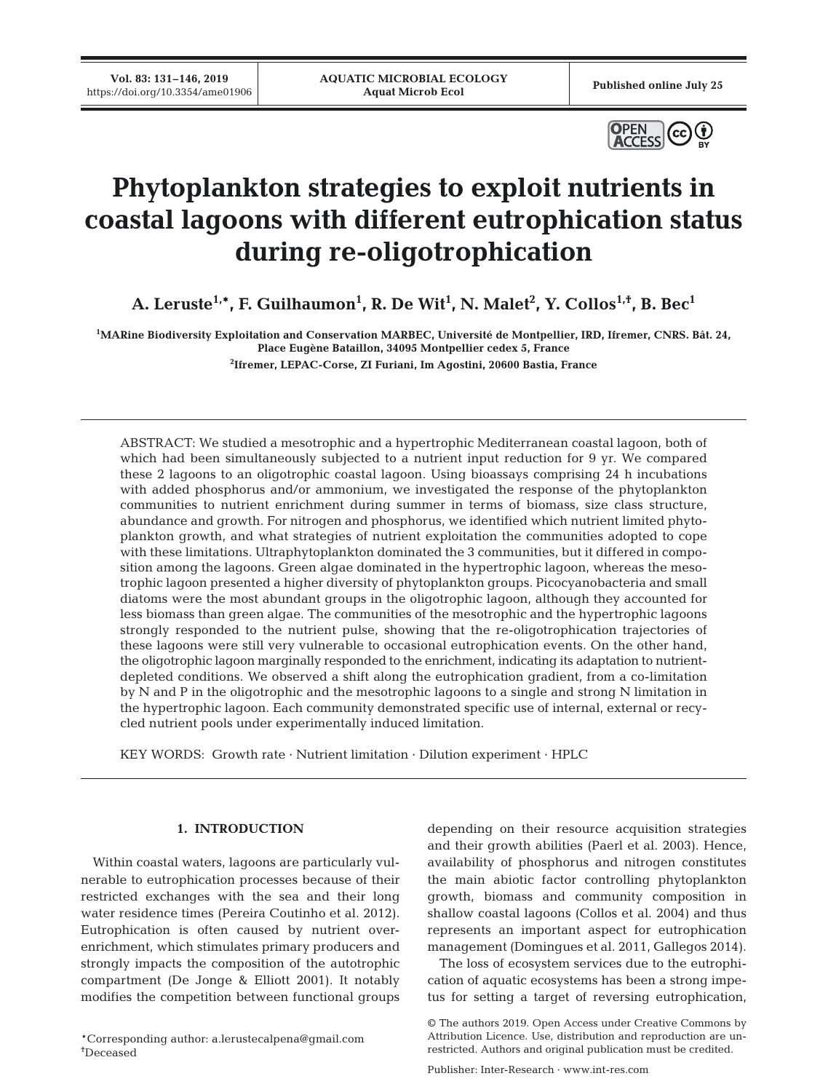**Vol. 83: 131–146, 2019**



# **Phytoplankton strategies to exploit nutrients in coastal lagoons with different eutrophication status during re-oligotrophication**

**A. Leruste1,\*, F. Guilhaumon1 , R. De Wit1 , N. Malet2 , Y. Collos1,†, B. Bec1**

**1 MARine Biodiversity Exploitation and Conservation MARBEC, Université de Montpellier, IRD, Ifremer, CNRS. Bât. 24, Place Eugène Bataillon, 34095 Montpellier cedex 5, France**

**2 Ifremer, LEPAC-Corse, ZI Furiani, Im Agostini, 20600 Bastia, France**

ABSTRACT: We studied a mesotrophic and a hypertrophic Mediterranean coastal lagoon, both of which had been simultaneously subjected to a nutrient input reduction for 9 yr. We compared these 2 lagoons to an oligotrophic coastal lagoon. Using bioassays comprising 24 h incubations with added phosphorus and/or ammonium, we investigated the response of the phytoplankton communities to nutrient enrichment during summer in terms of biomass, size class structure, abundance and growth. For nitrogen and phosphorus, we identified which nutrient limited phytoplankton growth, and what strategies of nutrient exploitation the communities adopted to cope with these limitations. Ultraphytoplankton dominated the 3 communities, but it differed in composition among the lagoons. Green algae dominated in the hypertrophic lagoon, whereas the mesotrophic lagoon presented a higher diversity of phytoplankton groups. Picocyanobacteria and small diatoms were the most abundant groups in the oligotrophic lagoon, although they accounted for less biomass than green algae. The communities of the mesotrophic and the hypertrophic lagoons strongly responded to the nutrient pulse, showing that the re-oligotrophication trajectories of these lagoons were still very vulnerable to occasional eutrophication events. On the other hand, the oligotrophic lagoon marginally responded to the enrichment, indicating its adaptation to nutrientdepleted conditions. We observed a shift along the eutrophication gradient, from a co-limitation by N and P in the oligotrophic and the mesotrophic lagoons to a single and strong N limitation in the hypertrophic lagoon. Each community demonstrated specific use of internal, external or recycled nutrient pools under experimentally induced limitation.

KEY WORDS: Growth rate · Nutrient limitation · Dilution experiment · HPLC

## **1. INTRODUCTION**

Within coastal waters, lagoons are particularly vulnerable to eutrophication processes because of their restricted exchanges with the sea and their long water residence times (Pereira Coutinho et al. 2012). Eutrophication is often caused by nutrient overenrichment, which stimulates primary producers and strongly impacts the composition of the autotrophic compartment (De Jonge & Elliott 2001). It notably modifies the competition between functional groups

\*Corresponding author: a.lerustecalpena@gmail.com † Deceased

depending on their resource acquisition strategies and their growth abilities (Paerl et al. 2003). Hence, availability of phosphorus and nitrogen constitutes the main abiotic factor controlling phytoplankton growth, biomass and community composition in shallow coastal lagoons (Collos et al. 2004) and thus represents an important aspect for eutrophication management (Domingues et al. 2011, Gallegos 2014).

The loss of ecosystem services due to the eutrophication of aquatic ecosystems has been a strong impetus for setting a target of reversing eutrophication,

<sup>©</sup> The authors 2019. Open Access under Creative Commons by Attribution Licence. Use, distribution and reproduction are unrestricted. Authors and original publication must be credited.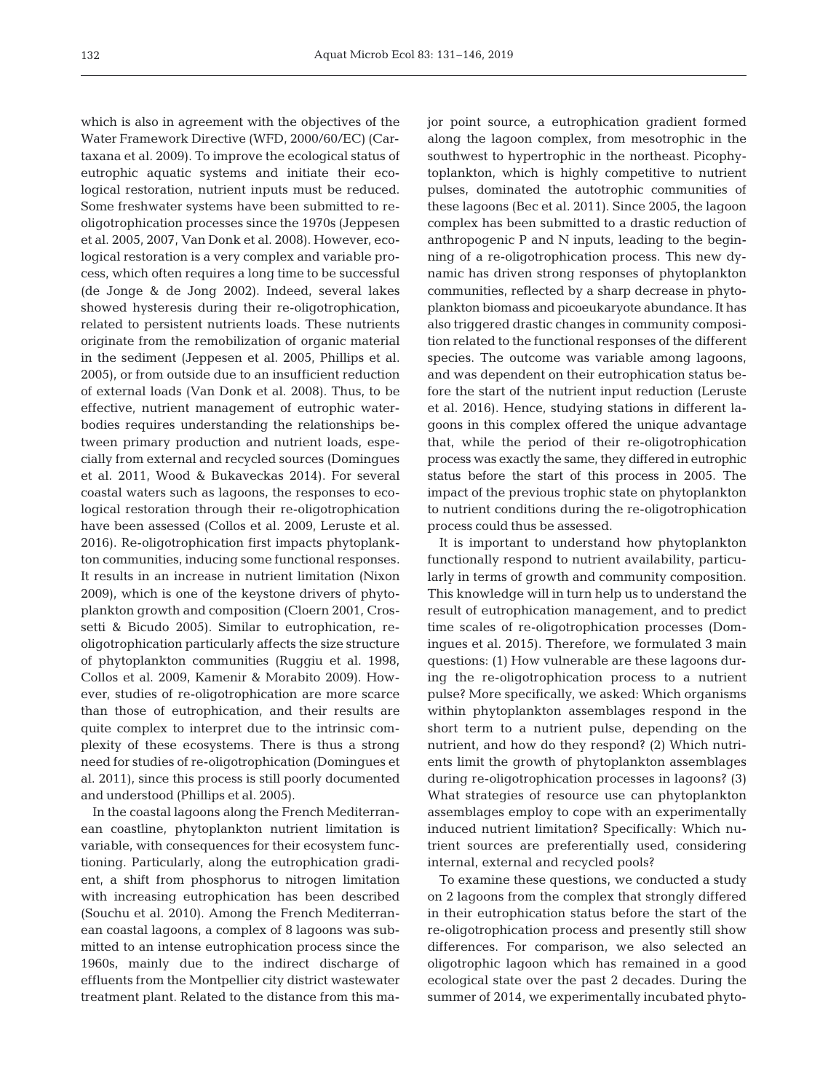which is also in agreement with the objectives of the Water Framework Directive (WFD, 2000/60/EC) (Cartaxana et al. 2009). To improve the ecological status of eutrophic aquatic systems and initiate their ecological restoration, nutrient inputs must be reduced. Some freshwater systems have been submitted to reoligotrophication processes since the 1970s (Jeppesen et al. 2005, 2007, Van Donk et al. 2008). However, ecological restoration is a very complex and variable process, which often requires a long time to be successful (de Jonge & de Jong 2002). Indeed, several lakes showed hysteresis during their re-oligotrophication, related to persistent nutrients loads. These nutrients originate from the remobilization of organic material in the sediment (Jeppesen et al. 2005, Phillips et al. 2005), or from outside due to an insufficient reduction of external loads (Van Donk et al. 2008). Thus, to be effective, nutrient management of eutrophic waterbodies requires understanding the relationships between primary production and nutrient loads, especially from external and recycled sources (Domingues et al. 2011, Wood & Bukaveckas 2014). For several coastal waters such as lagoons, the responses to ecological restoration through their re-oligotrophication have been assessed (Collos et al. 2009, Leruste et al. 2016). Re-oligotrophication first impacts phytoplankton communities, inducing some functional responses. It results in an increase in nutrient limitation (Nixon 2009), which is one of the keystone drivers of phytoplankton growth and composition (Cloern 2001, Crossetti & Bicudo 2005). Similar to eutrophication, reoligotrophication particularly affects the size structure of phytoplankton communities (Ruggiu et al. 1998, Collos et al. 2009, Kamenir & Morabito 2009). However, studies of re-oligotrophication are more scarce than those of eutrophication, and their results are quite complex to interpret due to the intrinsic complexity of these ecosystems. There is thus a strong need for studies of re-oligotrophication (Domingues et al. 2011), since this process is still poorly documented and understood (Phillips et al. 2005).

In the coastal lagoons along the French Mediterranean coastline, phytoplankton nutrient limitation is variable, with consequences for their ecosystem functioning. Particularly, along the eutrophication gradient, a shift from phosphorus to nitrogen limitation with increasing eutrophication has been described (Souchu et al. 2010). Among the French Mediterranean coastal lagoons, a complex of 8 lagoons was submitted to an intense eutrophication process since the 1960s, mainly due to the indirect discharge of effluents from the Montpellier city district wastewater treatment plant. Related to the distance from this major point source, a eutrophication gradient formed along the lagoon complex, from mesotrophic in the southwest to hypertrophic in the northeast. Picophytoplankton, which is highly competitive to nutrient pulses, dominated the autotrophic communities of these lagoons (Bec et al. 2011). Since 2005, the lagoon complex has been submitted to a drastic reduction of anthropogenic P and N inputs, leading to the beginning of a re-oligotrophication process. This new dynamic has driven strong responses of phytoplankton communities, reflected by a sharp decrease in phytoplankton biomass and picoeukaryote abundance. It has also triggered drastic changes in community composition related to the functional responses of the different species. The outcome was variable among lagoons, and was dependent on their eutrophication status before the start of the nutrient input reduction (Leruste et al. 2016). Hence, studying stations in different lagoons in this complex offered the unique advantage that, while the period of their re-oligotrophication process was exactly the same, they differed in eutrophic status before the start of this process in 2005. The impact of the previous trophic state on phytoplankton to nutrient conditions during the re-oligotrophication process could thus be assessed.

It is important to understand how phytoplankton functionally respond to nutrient availability, particularly in terms of growth and community composition. This knowledge will in turn help us to understand the result of eutrophication management, and to predict time scales of re-oligotrophication processes (Domingues et al. 2015). Therefore, we formulated 3 main questions: (1) How vulnerable are these lagoons during the re-oligotrophication process to a nutrient pulse? More specifically, we asked: Which organisms within phytoplankton assemblages respond in the short term to a nutrient pulse, depending on the nutrient, and how do they respond? (2) Which nutrients limit the growth of phytoplankton assemblages during re-oligotrophication processes in lagoons? (3) What strategies of resource use can phytoplankton assemblages employ to cope with an experimentally induced nutrient limitation? Specifically: Which nutrient sources are preferentially used, considering internal, external and recycled pools?

To examine these questions, we conducted a study on 2 lagoons from the complex that strongly differed in their eutrophication status before the start of the re-oligotrophication process and presently still show differences. For comparison, we also selected an oligotrophic lagoon which has remained in a good ecological state over the past 2 decades. During the summer of 2014, we experimentally incubated phyto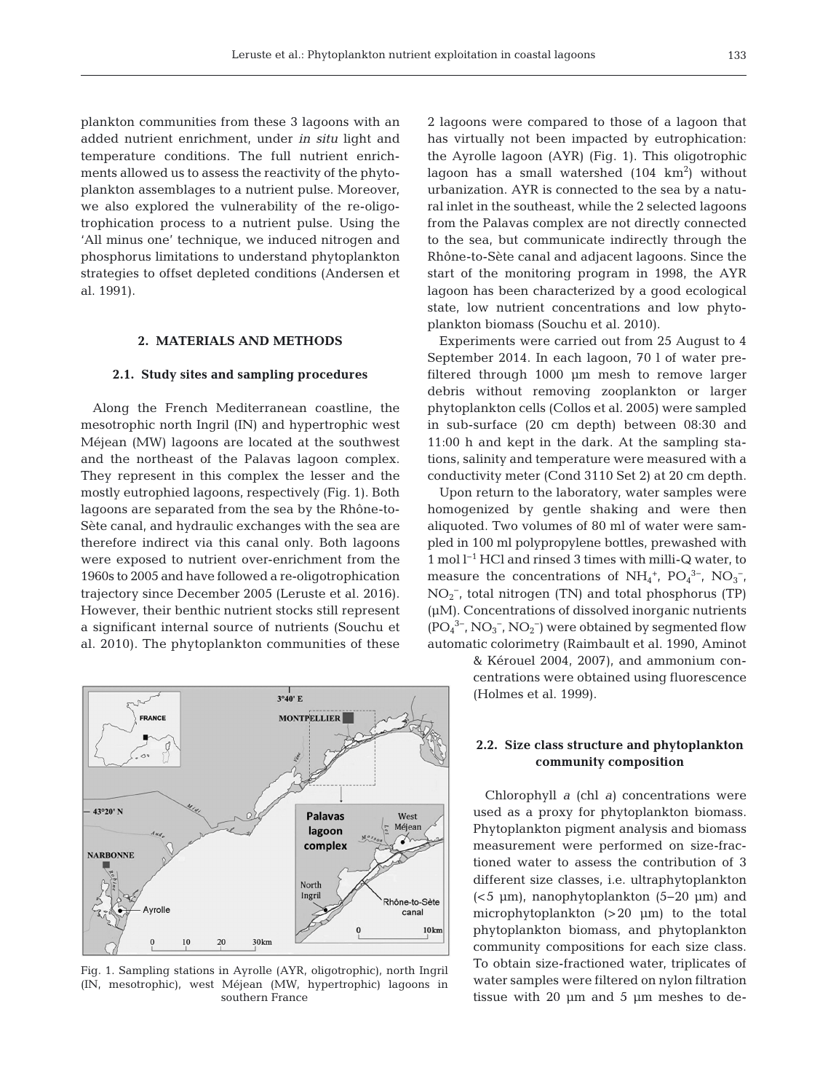plankton communities from these 3 lagoons with an added nutrient enrichment, under *in situ* light and temperature conditions. The full nutrient enrichments allowed us to assess the reactivity of the phytoplankton assemblages to a nutrient pulse. Moreover, we also explored the vulnerability of the re-oligotrophication process to a nutrient pulse. Using the 'All minus one' technique, we induced nitrogen and phosphorus limitations to understand phytoplankton strategies to offset depleted conditions (Andersen et al. 1991).

## **2. MATERIALS AND METHODS**

#### **2.1. Study sites and sampling procedures**

Along the French Mediterranean coastline, the mesotrophic north Ingril (IN) and hypertrophic west Méjean (MW) lagoons are located at the southwest and the northeast of the Palavas lagoon complex. They represent in this complex the lesser and the mostly eutrophied lagoons, respectively (Fig. 1). Both lagoons are separated from the sea by the Rhône-to-Sète canal, and hydraulic exchanges with the sea are therefore indirect via this canal only. Both lagoons were exposed to nutrient over-enrichment from the 1960s to 2005 and have followed a re- oligotrophication trajectory since December 2005 (Leruste et al. 2016). However, their benthic nutrient stocks still represent a significant internal source of nutrients (Souchu et al. 2010). The phytoplankton communities of these



Fig. 1. Sampling stations in Ayrolle (AYR, oligotrophic), north Ingril (IN, mesotrophic), west Méjean (MW, hypertrophic) lagoons in southern France

2 lagoons were compared to those of a lagoon that has virtually not been impacted by eutrophication: the Ayrolle lagoon (AYR) (Fig. 1). This oligotrophic lagoon has a small watershed  $(104 \text{ km}^2)$  without urbanization. AYR is connected to the sea by a natural inlet in the southeast, while the 2 selected lagoons from the Palavas complex are not directly connected to the sea, but communicate indirectly through the Rhône-to-Sète canal and adjacent lagoons. Since the start of the monitoring program in 1998, the AYR lagoon has been characterized by a good ecological state, low nutrient concentrations and low phytoplankton biomass (Souchu et al. 2010).

Experiments were carried out from 25 August to 4 September 2014. In each lagoon, 70 l of water prefiltered through 1000 μm mesh to remove larger debris without removing zooplankton or larger phytoplankton cells (Collos et al. 2005) were sampled in sub-surface (20 cm depth) between 08:30 and 11:00 h and kept in the dark. At the sampling stations, salinity and temperature were measured with a conductivity meter (Cond 3110 Set 2) at 20 cm depth.

Upon return to the laboratory, water samples were homogenized by gentle shaking and were then aliquoted. Two volumes of 80 ml of water were sampled in 100 ml polypropylene bottles, prewashed with 1 mol l−1 HCl and rinsed 3 times with milli-Q water, to measure the concentrations of  $NH_4^+$ ,  $PO_4^{3-}$ ,  $NO_3^-$ , NO<sub>2</sub><sup>-</sup>, total nitrogen (TN) and total phosphorus (TP) (μM). Concentrations of dissolved inorganic nutrients  $(PO<sub>4</sub><sup>3-</sup>, NO<sub>3</sub><sup>-</sup>, NO<sub>2</sub><sup>-</sup>)$  were obtained by segmented flow automatic colorimetry (Raimbault et al. 1990, Aminot

> & Kérouel 2004, 2007), and ammonium concentrations were obtained using fluorescence (Holmes et al. 1999).

## **2.2. Size class structure and phytoplankton community composition**

Chlorophyll *a* (chl *a)* concentrations were used as a proxy for phytoplankton biomass. Phytoplankton pigment analysis and biomass measurement were performed on size-fractioned water to assess the contribution of 3 different size classes, i.e. ultraphytoplankton (<5 μm), nanophytoplankton (5− 20 μm) and microphytoplankton (>20 μm) to the total phytoplankton biomass, and phytoplankton community compositions for each size class. To obtain size-fractioned water, triplicates of water samples were filtered on nylon filtration tissue with 20  $\mu$ m and 5  $\mu$ m meshes to de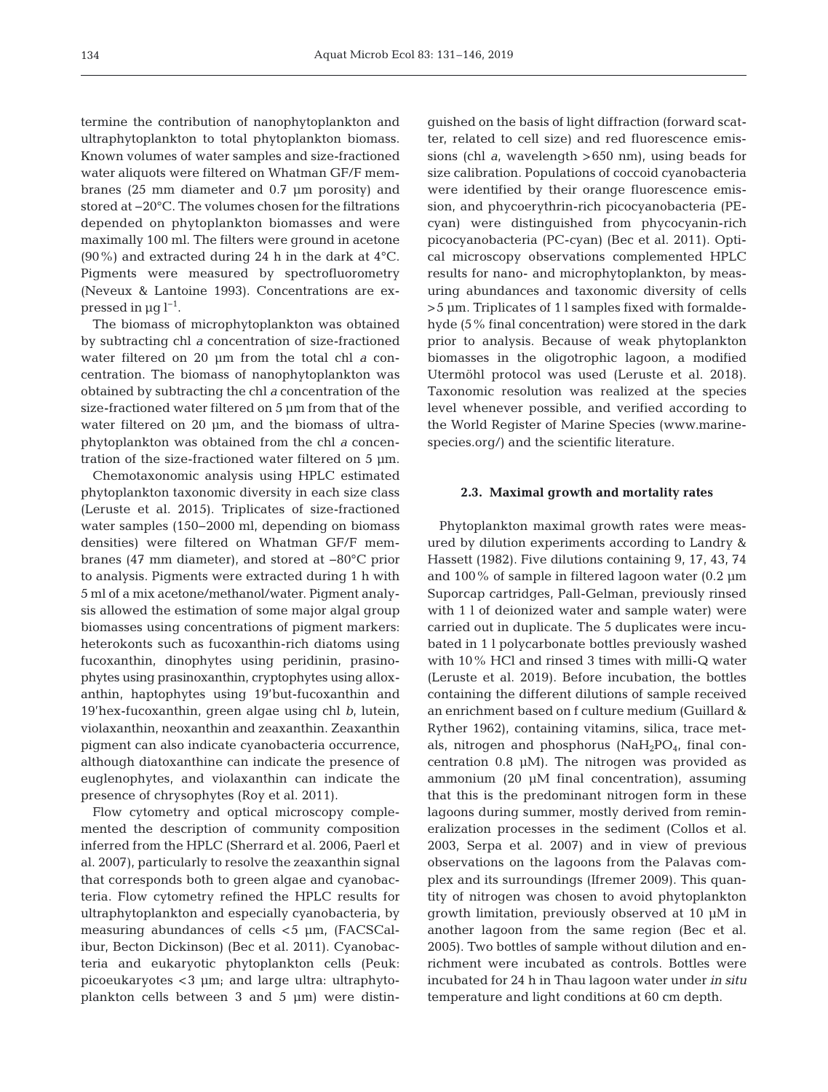termine the contribution of nanophytoplankton and ultraphytoplankton to total phytoplankton biomass. Known volumes of water samples and size-fractioned water aliquots were filtered on Whatman GF/F membranes (25 mm diameter and 0.7 μm porosity) and stored at −20°C. The volumes chosen for the filtrations depended on phytoplankton biomasses and were maximally 100 ml. The filters were ground in acetone (90%) and extracted during 24 h in the dark at 4°C. Pigments were measured by spectrofluorometry (Neveux & Lantoine 1993). Concentrations are expressed in  $\mu$ g l<sup>-1</sup>.

The biomass of microphytoplankton was obtained by subtracting chl *a* concentration of size-fractioned water filtered on 20 μm from the total chl *a* concentration. The biomass of nanophytoplankton was obtained by subtracting the chl *a* concentration of the size-fractioned water filtered on 5 μm from that of the water filtered on 20 μm, and the biomass of ultraphytoplankton was obtained from the chl *a* concentration of the size-fractioned water filtered on 5 μm.

Chemotaxonomic analysis using HPLC estimated phytoplankton taxonomic diversity in each size class (Leruste et al. 2015). Triplicates of size-fractioned water samples (150−2000 ml, depending on biomass densities) were filtered on Whatman GF/F membranes (47 mm diameter), and stored at −80°C prior to analysis. Pigments were extracted during 1 h with 5 ml of a mix acetone/methanol/water. Pigment analysis allowed the estimation of some major algal group biomasses using concentrations of pigment markers: heterokonts such as fucoxanthin-rich diatoms using fucoxanthin, dinophytes using peridinin, prasinophytes using prasinoxanthin, cryptophytes using alloxanthin, haptophytes using 19'but-fucoxanthin and 19'hex-fucoxanthin, green algae using chl *b*, lutein, violaxanthin, neoxanthin and zeaxanthin. Zeaxanthin pigment can also indicate cyanobacteria occurrence, although diatoxanthine can indicate the presence of euglenophytes, and violaxanthin can indicate the presence of chrysophytes (Roy et al. 2011).

Flow cytometry and optical microscopy complemented the description of community composition inferred from the HPLC (Sherrard et al. 2006, Paerl et al. 2007), particularly to resolve the zeaxanthin signal that corresponds both to green algae and cyanobacteria. Flow cytometry refined the HPLC results for ultraphytoplankton and especially cyanobacteria, by measuring abundances of cells <5 μm, (FACSCalibur, Becton Dickinson) (Bec et al. 2011). Cyanobacteria and eukaryotic phytoplankton cells (Peuk: picoeukaryotes <3 μm; and large ultra: ultraphytoplankton cells between 3 and 5 μm) were distinguished on the basis of light diffraction (forward scatter, related to cell size) and red fluorescence emissions (chl *a*, wavelength >650 nm), using beads for size calibration. Populations of coccoid cyanobacteria were identified by their orange fluorescence emission, and phycoerythrin-rich picocyanobacteria (PEcyan) were distinguished from phycocyanin-rich picocyanobacteria (PC-cyan) (Bec et al. 2011). Optical microscopy observations complemented HPLC results for nano- and microphytoplankton, by measuring abundances and taxonomic diversity of cells >5 μm. Triplicates of 1 l samples fixed with formaldehyde (5% final concentration) were stored in the dark prior to analysis. Because of weak phytoplankton biomasses in the oligotrophic lagoon, a modified Utermöhl protocol was used (Leruste et al. 2018). Taxonomic resolution was realized at the species level whenever possible, and verified according to the World Register of Marine Species (www.marinespecies.org/) and the scientific literature.

# **2.3. Maximal growth and mortality rates**

Phytoplankton maximal growth rates were measured by dilution experiments according to Landry & Hassett (1982). Five dilutions containing 9, 17, 43, 74 and 100% of sample in filtered lagoon water (0.2 μm Suporcap cartridges, Pall-Gelman, previously rinsed with 1 l of deionized water and sample water) were carried out in duplicate. The 5 duplicates were incubated in 1 l polycarbonate bottles previously washed with 10% HCl and rinsed 3 times with milli-Q water (Leruste et al. 2019). Before incubation, the bottles containing the different dilutions of sample received an enrichment based on f culture medium (Guillard & Ryther 1962), containing vitamins, silica, trace metals, nitrogen and phosphorus  $(NaH_2PO_4, final$ centration 0.8 μM). The nitrogen was provided as ammonium (20 μM final concentration), assuming that this is the predominant nitrogen form in these lagoons during summer, mostly derived from remineralization processes in the sediment (Collos et al. 2003, Serpa et al. 2007) and in view of previous observations on the lagoons from the Palavas complex and its surroundings (Ifremer 2009). This quantity of nitrogen was chosen to avoid phytoplankton growth limitation, previously observed at 10 μM in another lagoon from the same region (Bec et al. 2005). Two bottles of sample without dilution and en richment were incubated as controls. Bottles were incubated for 24 h in Thau lagoon water under *in situ* temperature and light conditions at 60 cm depth.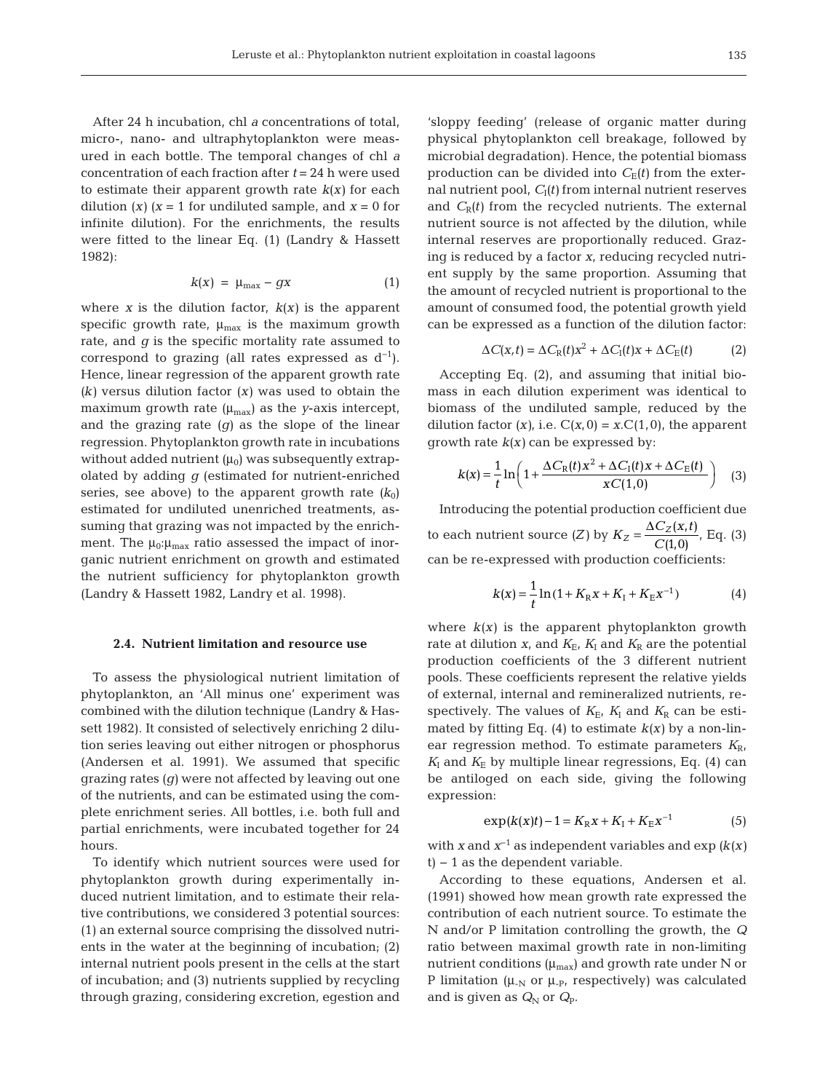After 24 h incubation, chl *a* concentrations of total, micro-, nano- and ultraphytoplankton were measured in each bottle. The temporal changes of chl *a* concentration of each fraction after *t* = 24 h were used to estimate their apparent growth rate *k(x)* for each dilution  $(x)$  ( $x = 1$  for undiluted sample, and  $x = 0$  for infinite dilution). For the enrichments, the results were fitted to the linear Eq. (1) (Landry & Hassett 1982):

$$
k(x) = \mu_{\text{max}} - gx \tag{1}
$$

where *x* is the dilution factor,  $k(x)$  is the apparent specific growth rate,  $\mu_{\text{max}}$  is the maximum growth rate, and *g* is the specific mortality rate assumed to correspond to grazing (all rates expressed as  $d^{-1}$ ). Hence, linear regression of the apparent growth rate *(k)* versus dilution factor *(x)* was used to obtain the maximum growth rate  $(\mu_{\text{max}})$  as the *y*-axis intercept, and the grazing rate *(g)* as the slope of the linear regression. Phytoplankton growth rate in incubations without added nutrient  $(\mu_0)$  was subsequently extrapolated by adding *g* (estimated for nutrient-enriched series, see above) to the apparent growth rate  $(k_0)$ estimated for undiluted unenriched treatments, assuming that grazing was not impacted by the enrichment. The  $\mu_0:\mu_{\text{max}}$  ratio assessed the impact of inorganic nutrient enrichment on growth and estimated the nutrient sufficiency for phytoplankton growth (Landry & Hassett 1982, Landry et al. 1998).

## **2.4. Nutrient limitation and resource use**

To assess the physiological nutrient limitation of phytoplankton, an 'All minus one' experiment was combined with the dilution technique (Landry & Hassett 1982). It consisted of selectively enriching 2 dilution series leaving out either nitrogen or phosphorus (Andersen et al. 1991). We assumed that specific grazing rates *(g)* were not affected by leaving out one of the nutrients, and can be estimated using the complete enrichment series. All bottles, i.e. both full and partial enrichments, were incubated together for 24 hours.

To identify which nutrient sources were used for phytoplankton growth during experimentally induced nutrient limitation, and to estimate their relative contributions, we considered 3 potential sources: (1) an external source comprising the dissolved nutrients in the water at the beginning of incubation; (2) internal nutrient pools present in the cells at the start of incubation; and (3) nutrients supplied by recycling through grazing, considering excretion, egestion and 'sloppy feeding' (release of organic matter during physical phytoplankton cell breakage, followed by microbial degradation). Hence, the potential biomass production can be divided into  $C_E(t)$  from the external nutrient pool,  $C<sub>I</sub>(t)$  from internal nutrient reserves and  $C_R(t)$  from the recycled nutrients. The external nutrient source is not affected by the dilution, while internal reserves are proportionally reduced. Grazing is reduced by a factor *x*, reducing recycled nutrient supply by the same proportion. Assuming that the amount of recycled nutrient is proportional to the amount of consumed food, the potential growth yield can be expressed as a function of the dilution factor:

$$
\Delta C(x,t) = \Delta C_{\rm R}(t)x^2 + \Delta C_{\rm I}(t)x + \Delta C_{\rm E}(t)
$$
 (2)

Accepting Eq. (2), and assuming that initial biomass in each dilution experiment was identical to biomass of the undiluted sample, reduced by the dilution factor  $(x)$ , i.e.  $C(x, 0) = x.C(1,0)$ , the apparent growth rate *k(x)* can be expressed by:

$$
k(x) = \frac{1}{t} \ln \left( 1 + \frac{\Delta C_{\rm R}(t) x^2 + \Delta C_{\rm I}(t) x + \Delta C_{\rm E}(t)}{x C(1,0)} \right) \tag{3}
$$

Introducing the potential production coefficient due to each nutrient source (*Z*) by  $K_Z = \frac{\Delta C_Z(x,t)}{C(1,0)}$ , Eq. (3) can be re-expressed with production coefficients:

$$
k(x) = \frac{1}{t} \ln(1 + K_{R}x + K_{I} + K_{E}x^{-1})
$$
 (4)

where  $k(x)$  is the apparent phytoplankton growth rate at dilution  $x$ , and  $K_E$ ,  $K_I$  and  $K_R$  are the potential production coefficients of the 3 different nutrient pools. These coefficients represent the relative yields of external, internal and remineralized nutrients, re spectively. The values of  $K_{\rm E}$ ,  $K_{\rm I}$  and  $K_{\rm R}$  can be estimated by fitting Eq.  $(4)$  to estimate  $k(x)$  by a non-linear regression method. To estimate parameters  $K_{\rm R}$ ,  $K_I$  and  $K_E$  by multiple linear regressions, Eq. (4) can be antiloged on each side, giving the following expression:

$$
\exp(k(x)t) - 1 = K_{R}x + K_{I} + K_{E}x^{-1}
$$
 (5)

with *x* and *x*−1 as independent variables and exp *(k(x)* t) − 1 as the dependent variable.

According to these equations, Andersen et al. (1991) showed how mean growth rate expressed the contribution of each nutrient source. To estimate the N and/or P limitation controlling the growth, the *Q* ratio between maximal growth rate in non-limiting nutrient conditions  $(\mu_{max})$  and growth rate under N or P limitation ( $\mu_{N}$  or  $\mu_{P}$ , respectively) was calculated and is given as  $Q_N$  or  $Q_P$ .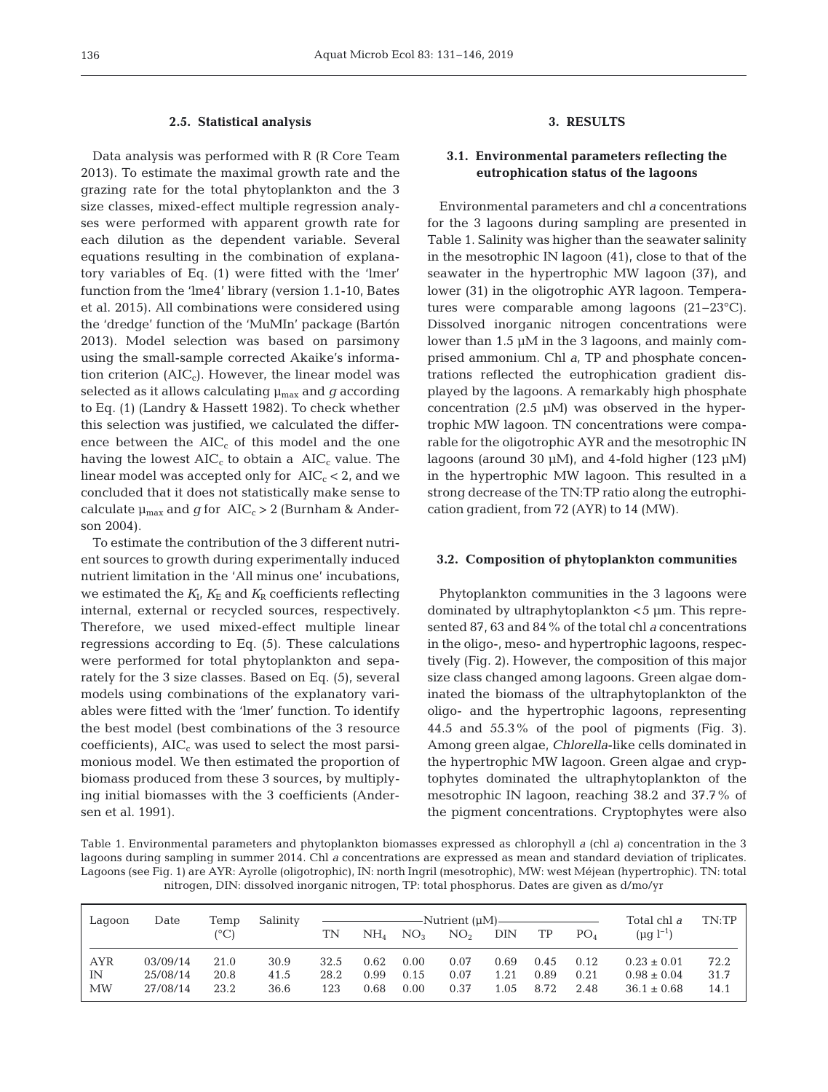#### **2.5. Statistical analysis**

Data analysis was performed with R (R Core Team 2013). To estimate the maximal growth rate and the grazing rate for the total phytoplankton and the 3 size classes, mixed-effect multiple regression analyses were performed with apparent growth rate for each dilution as the dependent variable. Several equations resulting in the combination of explanatory variables of Eq. (1) were fitted with the 'lmer' function from the 'lme4' library (version 1.1-10, Bates et al. 2015). All combinations were considered using the 'dredge' function of the 'MuMIn' package (Bartón 2013). Model selection was based on parsimony using the small-sample corrected Akaike's information criterion  $(AIC<sub>c</sub>)$ . However, the linear model was selected as it allows calculating μmax and *g* according to Eq. (1) (Landry & Hassett 1982). To check whether this selection was justified, we calculated the difference between the  $AIC_c$  of this model and the one having the lowest  $AIC_c$  to obtain a  $AIC_c$  value. The linear model was accepted only for  $AIC_c < 2$ , and we concluded that it does not statistically make sense to calculate  $\mu_{\text{max}}$  and *g* for AIC<sub>c</sub> > 2 (Burnham & Anderson 2004).

To estimate the contribution of the 3 different nutrient sources to growth during experimentally induced nutrient limitation in the 'All minus one' incubations, we estimated the  $K_I$ ,  $K_E$  and  $K_R$  coefficients reflecting internal, external or recycled sources, respectively. Therefore, we used mixed-effect multiple linear regressions according to Eq. (5). These calculations were performed for total phytoplankton and separately for the 3 size classes. Based on Eq. (5), several models using combinations of the explanatory variables were fitted with the 'lmer' function. To identify the best model (best combinations of the 3 resource coefficients),  $AIC<sub>c</sub>$  was used to select the most parsimonious model. We then estimated the proportion of biomass produced from these 3 sources, by multiplying initial biomasses with the 3 coefficients (Andersen et al. 1991).

# **3. RESULTS**

# **3.1. Environmental parameters reflecting the eutrophication status of the lagoons**

Environmental parameters and chl *a* concentrations for the 3 lagoons during sampling are presented in Table 1. Salinity was higher than the seawater salinity in the mesotrophic IN lagoon (41), close to that of the seawater in the hypertrophic MW lagoon (37), and lower (31) in the oligotrophic AYR lagoon. Temperatures were comparable among lagoons (21−23°C). Dissolved inorganic nitrogen concentrations were lower than 1.5 μM in the 3 lagoons, and mainly comprised ammonium. Chl *a*, TP and phosphate concentrations reflected the eutrophication gradient displayed by the lagoons. A remarkably high phosphate concentration (2.5  $\mu$ M) was observed in the hypertrophic MW lagoon. TN concentrations were comparable for the oligotrophic AYR and the mesotrophic IN lagoons (around 30 μM), and 4-fold higher (123 μM) in the hypertrophic MW lagoon. This resulted in a strong decrease of the TN:TP ratio along the eutrophication gradient, from 72 (AYR) to 14 (MW).

#### **3.2. Composition of phytoplankton communities**

Phytoplankton communities in the 3 lagoons were dominated by ultraphytoplankton <5 μm. This represented 87, 63 and 84% of the total chl *a* concentrations in the oligo-, meso- and hypertrophic lagoons, respectively (Fig. 2). However, the composition of this major size class changed among lagoons. Green algae dominated the biomass of the ultraphytoplankton of the oligo- and the hypertrophic lagoons, representing 44.5 and 55.3% of the pool of pigments (Fig. 3). Among green algae, *Chlorella*-like cells dominated in the hypertrophic MW lagoon. Green algae and cryptophytes dominated the ultraphytoplankton of the mesotrophic IN lagoon, reaching 38.2 and 37.7% of the pigment concentrations. Cryptophytes were also

Table 1. Environmental parameters and phytoplankton biomasses expressed as chlorophyll *a* (chl *a*) concentration in the 3 lagoons during sampling in summer 2014. Chl *a* concentrations are expressed as mean and standard deviation of triplicates. Lagoons (see Fig. 1) are AYR: Ayrolle (oligotrophic), IN: north Ingril (mesotrophic), MW: west Méjean (hypertrophic). TN: total nitrogen, DIN: dissolved inorganic nitrogen, TP: total phosphorus. Dates are given as d/mo/yr

| Lagoon     | Date     | Temp<br>(°C) | Salinity | TN   | PO <sub>A</sub><br>NO <sub>3</sub><br>DIN<br>TP<br>$NH_{4}$<br>NO <sub>2</sub> |      | Total chl a<br>$(\mu q l^{-1})$ | TN:TP |      |      |                 |      |
|------------|----------|--------------|----------|------|--------------------------------------------------------------------------------|------|---------------------------------|-------|------|------|-----------------|------|
| <b>AYR</b> | 03/09/14 | 21.0         | 30.9     | 32.5 | 0.62                                                                           | 0.00 | 0.07                            | 0.69  | 0.45 | 0.12 | $0.23 \pm 0.01$ | 72.2 |
| IN         | 25/08/14 | 20.8         | 41.5     | 28.2 | 0.99                                                                           | 0.15 | 0.07                            | 1.21  | 0.89 | 0.21 | $0.98 \pm 0.04$ | 31.7 |
| MW         | 27/08/14 | 23.2         | 36.6     | 123  | 0.68                                                                           | 0.00 | 0.37                            | 1.05  | 8.72 | 2.48 | $36.1 \pm 0.68$ | 14.1 |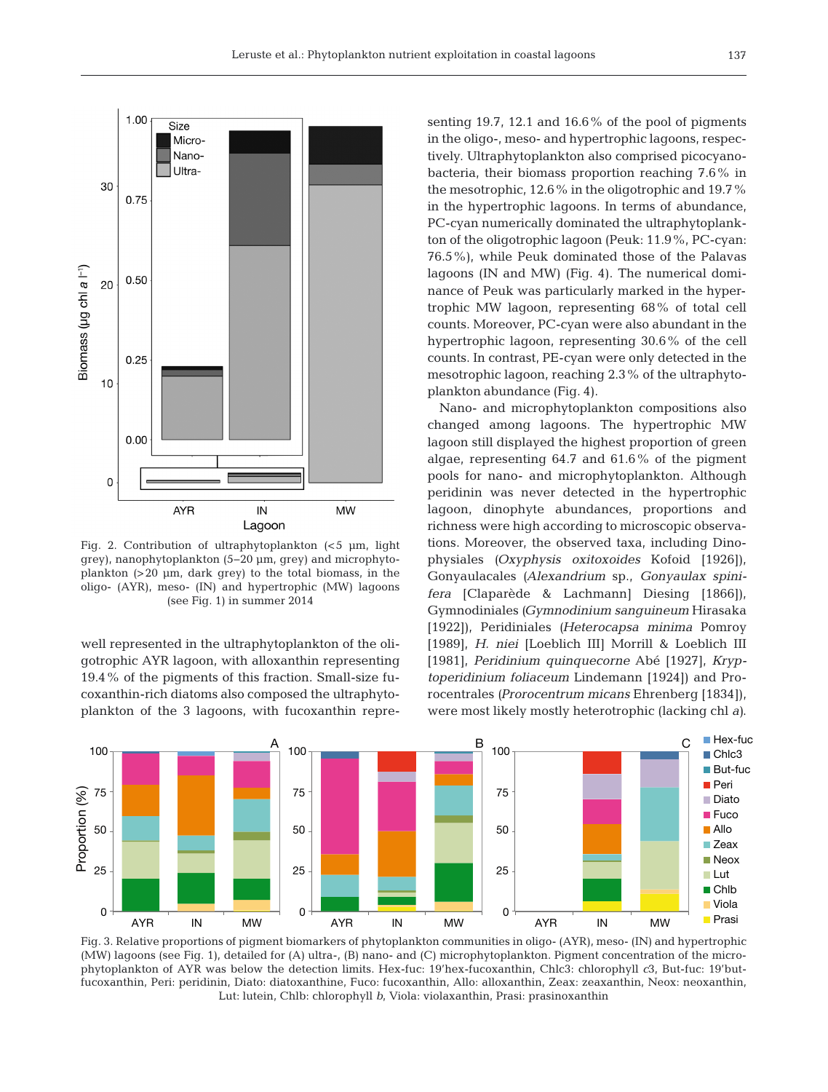

Fig. 2. Contribution of ultraphytoplankton (<5 μm, light grey), nanophytoplankton (5−20 μm, grey) and microphytoplankton (>20 μm, dark grey) to the total biomass, in the oligo- (AYR), meso- (IN) and hypertrophic (MW) lagoons (see Fig. 1) in summer 2014

well represented in the ultraphytoplankton of the oligotrophic AYR lagoon, with alloxanthin representing 19.4% of the pigments of this fraction. Small-size fucoxanthin-rich diatoms also composed the ultraphytoplankton of the 3 lagoons, with fucoxanthin repre-

senting 19.7, 12.1 and 16.6% of the pool of pigments in the oligo-, meso- and hypertrophic lagoons, respectively. Ultraphytoplankton also comprised picocyanobacteria, their biomass proportion reaching 7.6% in the mesotrophic, 12.6% in the oligotrophic and 19.7% in the hypertrophic lagoons. In terms of abundance, PC-cyan numerically dominated the ultraphytoplankton of the oligotrophic lagoon (Peuk: 11.9%, PC-cyan: 76.5%), while Peuk dominated those of the Palavas lagoons (IN and MW) (Fig. 4). The numerical dominance of Peuk was particularly marked in the hypertrophic MW lagoon, representing 68% of total cell counts. Moreover, PC-cyan were also abundant in the hypertrophic lagoon, representing 30.6% of the cell counts. In contrast, PE-cyan were only detected in the mesotrophic lagoon, reaching 2.3% of the ultraphytoplankton abundance (Fig. 4).

Nano- and microphytoplankton compositions also changed among lagoons. The hypertrophic MW lagoon still displayed the highest proportion of green algae, representing 64.7 and 61.6% of the pigment pools for nano- and microphytoplankton. Although peridinin was never detected in the hypertrophic lagoon, dinophyte abundances, proportions and richness were high according to microscopic observations. Moreover, the observed taxa, including Dinophysiales *(Oxyphysis oxitoxoides* Kofoid [1926]), Gonyaulacales *(Alexandrium* sp., *Gonyaulax spini fera* [Claparède & Lachmann] Diesing [1866]), Gymnodiniales *(Gymnodinium sanguineum* Hirasaka [1922]), Peridiniales *(Heterocapsa minima* Pomroy [1989], *H. niei* [Loeblich III] Morrill & Loeblich III [1981], *Peridinium quinquecorne* Abé [1927], *Kryptoperidinium foliaceum* Lindemann [1924]) and Prorocentrales *(Prorocentrum micans* Ehrenberg [1834]), were most likely mostly heterotrophic (lacking chl *a)*.



Fig. 3. Relative proportions of pigment biomarkers of phytoplankton communities in oligo- (AYR), meso- (IN) and hypertrophic (MW) lagoons (see Fig. 1), detailed for (A) ultra-, (B) nano- and (C) microphytoplankton. Pigment concentration of the microphytoplankton of AYR was below the detection limits. Hex-fuc: 19'hex-fucoxanthin, Chlc3: chlorophyll *c*3, But-fuc: 19'butfucoxanthin, Peri: peridinin, Diato: diatoxanthine, Fuco: fucoxanthin, Allo: alloxanthin, Zeax: zeaxanthin, Neox: neoxanthin, Lut: lutein, Chlb: chlorophyll *b*, Viola: violaxanthin, Prasi: prasinoxanthin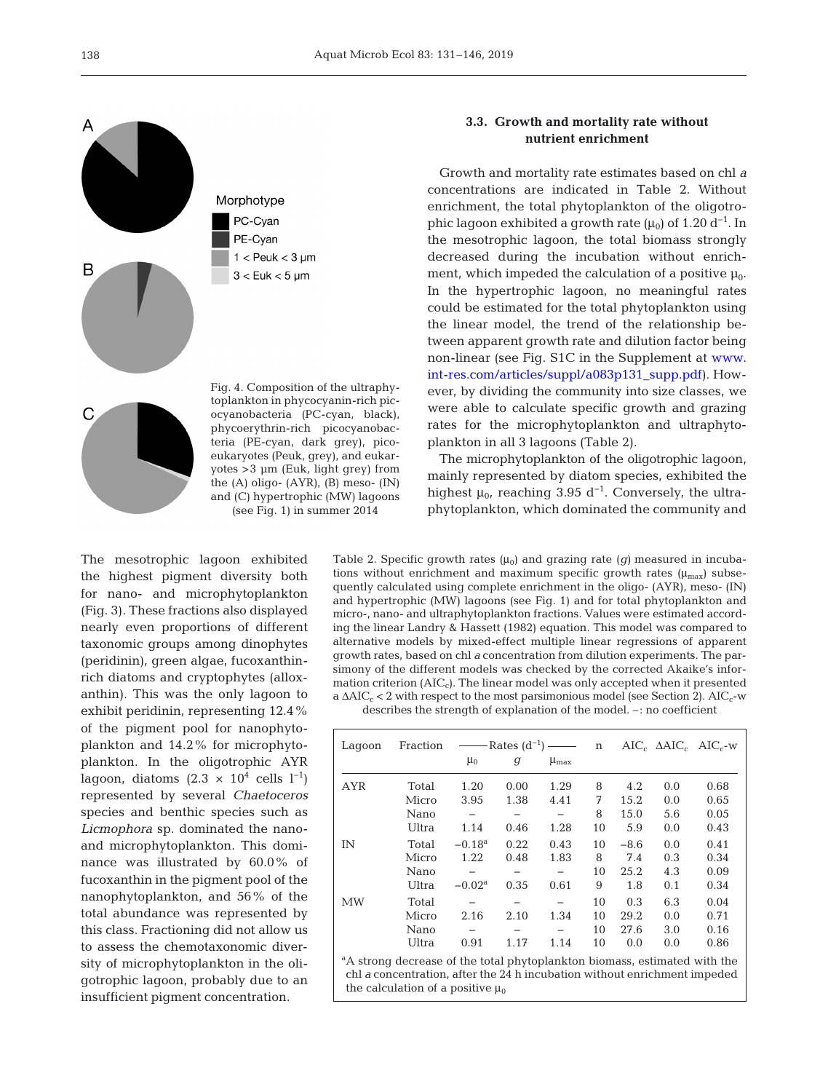

Fig. 4. Composition of the ultraphytoplankton in phycocyanin-rich picocyanobacteria (PC-cyan, black), phycoerythrin-rich picocyanobacteria (PE-cyan, dark grey), picoeukaryotes (Peuk, grey), and eukaryotes >3 μm (Euk, light grey) from the (A) oligo- (AYR), (B) meso- (IN) and (C) hypertrophic (MW) lagoons (see Fig. 1) in summer 2014

The mesotrophic lagoon exhibited the highest pigment diversity both for nano- and microphytoplankton (Fig. 3). These fractions also displayed nearly even proportions of different taxonomic groups among dinophytes (peridinin), green algae, fucoxanthinrich diatoms and cryptophytes (alloxanthin). This was the only lagoon to exhibit peridinin, representing 12.4% of the pigment pool for nanophytoplankton and 14.2% for microphytoplankton. In the oligotrophic AYR lagoon, diatoms (2.3 × 10<sup>4</sup> cells l<sup>-1</sup>) represented by several *Chaetoceros* species and benthic species such as *Licmophora* sp. dominated the nanoand microphytoplankton. This dominance was illustrated by 60.0% of fucoxanthin in the pigment pool of the nanophytoplankton, and 56% of the total abundance was represented by this class. Fractioning did not allow us to assess the chemotaxonomic diversity of microphytoplankton in the oligotrophic lagoon, probably due to an insufficient pigment concentration.

# **3.3. Growth and mortality rate without nutrient enrichment**

Growth and mortality rate estimates based on chl *a* concentrations are indicated in Table 2. Without enrichment, the total phytoplankton of the oligotrophic lagoon exhibited a growth rate  $(\mu_0)$  of 1.20 d<sup>-1</sup>. In the mesotrophic lagoon, the total biomass strongly decreased during the incubation without enrichment, which impeded the calculation of a positive  $\mu_0$ . In the hypertrophic lagoon, no meaningful rates could be estimated for the total phytoplankton using the linear model, the trend of the relationship be tween apparent growth rate and dilution factor being non-linear (see Fig. S1C in the Supplement at [www.](https://www.int-res.com/articles/suppl/a083p131_supp.pdf) [int-res.com/articles/suppl/a083p131\\_supp. pdf](https://www.int-res.com/articles/suppl/a083p131_supp.pdf)). However, by dividing the community into size classes, we were able to calculate specific growth and grazing rates for the microphytoplankton and ultraphytoplankton in all 3 lagoons (Table 2).

The microphytoplankton of the oligotrophic lagoon, mainly represented by diatom species, exhibited the highest  $\mu_0$ , reaching 3.95 d<sup>-1</sup>. Conversely, the ultraphytoplankton, which dominated the community and

Table 2. Specific growth rates  $(\mu_0)$  and grazing rate  $(g)$  measured in incubations without enrichment and maximum specific growth rates  $(\mu_{max})$  subsequently calculated using complete enrichment in the oligo- (AYR), meso- (IN) and hypertrophic (MW) lagoons (see Fig. 1) and for total phytoplankton and micro-, nano- and ultraphytoplankton fractions. Values were estimated according the linear Landry & Hassett (1982) equation. This model was compared to alternative models by mixed-effect multiple linear regressions of apparent growth rates, based on chl *a* concentration from dilution experiments. The parsimony of the different models was checked by the corrected Akaike's information criterion  $(AIC<sub>c</sub>)$ . The linear model was only accepted when it presented a  $\Delta AIC_c < 2$  with respect to the most parsimonious model (see Section 2). AIC<sub>c</sub>-w describes the strength of explanation of the model. –: no coefficient

Lagoon Fraction ——Rates  $(d^{-1})$  — n AIC<sub>c</sub>  $\triangle AIC_c$  AIC<sub>c</sub>-w  $\mu_0$  *g*  $\mu_{\text{max}}$ AYR Total 1.20 0.00 1.29 8 4.2 0.0 0.68 Micro 3.95 1.38 4.41 7 15.2 0.0 0.65 Nano – – – 8 15.0 5.6 0.05 Ultra 1.14 0.46 1.28 10 5.9 0.0 0.43 IN Total −0.18a 0.22 0.43 10 −8.6 0.0 0.41 Micro 1.22 0.48 1.83 8 7.4 0.3 0.34 Nano – – – 10 25.2 4.3 0.09 Ultra −0.02a 0.35 0.61 9 1.8 0.1 0.34 MW Total − − − 10 0.3 6.3 0.04 Micro 2.16 2.10 1.34 10 29.2 0.0 0.71 Nano – – – 10 27.6 3.0 0.16 Ultra 0.91 1.17 1.14 10 0.0 0.0 0.86

<sup>a</sup>A strong decrease of the total phytoplankton biomass, estimated with the chl *a* concentration, after the 24 h incubation without enrichment impeded the calculation of a positive  $\mu_0$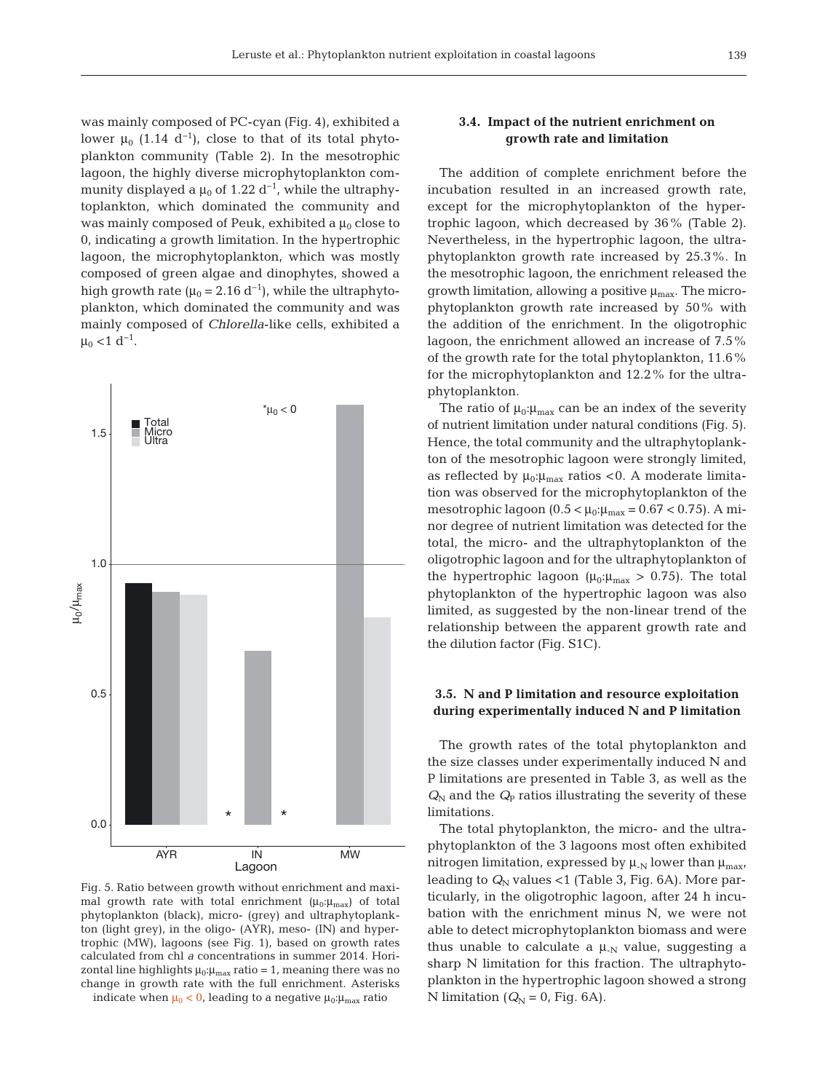was mainly composed of PC-cyan (Fig. 4), exhibited a lower  $\mu_0$  (1.14 d<sup>-1</sup>), close to that of its total phytoplankton community (Table 2). In the mesotrophic lagoon, the highly diverse microphytoplankton community displayed a  $\mu_0$  of 1.22 d<sup>-1</sup>, while the ultraphytoplankton, which dominated the community and was mainly composed of Peuk, exhibited a  $\mu_0$  close to 0, indicating a growth limitation. In the hypertrophic lagoon, the microphytoplankton, which was mostly composed of green algae and dinophytes, showed a high growth rate ( $\mu_0$  = 2.16 d<sup>-1</sup>), while the ultraphytoplankton, which dominated the community and was mainly composed of *Chlorella*-like cells, exhibited a  $\mu_0$  <1 d<sup>-1</sup>.



Fig. 5. Ratio between growth without enrichment and maximal growth rate with total enrichment  $(\mu_0:\mu_{\text{max}})$  of total phytoplankton (black), micro- (grey) and ultraphytoplankton (light grey), in the oligo- (AYR), meso- (IN) and hypertrophic (MW), lagoons (see Fig. 1), based on growth rates calculated from chl *a* concentrations in summer 2014. Horizontal line highlights  $\mu_0:\mu_{\text{max}}$  ratio = 1, meaning there was no change in growth rate with the full enrichment. Asterisks indicate when  $\mu_0 < 0$ , leading to a negative  $\mu_0$ : $\mu_{\text{max}}$  ratio

# **3.4. Impact of the nutrient enrichment on growth rate and limitation**

The addition of complete enrichment before the incubation resulted in an increased growth rate, except for the microphytoplankton of the hypertrophic lagoon, which decreased by 36% (Table 2). Nevertheless, in the hypertrophic lagoon, the ultraphytoplankton growth rate increased by 25.3%. In the mesotrophic lagoon, the enrichment released the growth limitation, allowing a positive  $\mu_{\text{max}}$ . The microphytoplankton growth rate increased by 50% with the addition of the enrichment. In the oligotrophic lagoon, the enrichment allowed an increase of 7.5% of the growth rate for the total phytoplankton, 11.6% for the microphytoplankton and 12.2% for the ultraphytoplankton.

The ratio of  $\mu_0:\mu_{\text{max}}$  can be an index of the severity of nutrient limitation under natural conditions (Fig. 5). Hence, the total community and the ultraphytoplankton of the mesotrophic lagoon were strongly limited, as reflected by  $\mu_0:\mu_{\text{max}}$  ratios < 0. A moderate limitation was observed for the microphytoplankton of the mesotrophic lagoon (0.5 <  $\mu_0:\mu_{\text{max}} = 0.67 < 0.75$ ). A minor degree of nutrient limitation was detected for the total, the micro- and the ultraphytoplankton of the oligotrophic lagoon and for the ultraphytoplankton of the hypertrophic lagoon ( $\mu_0:\mu_{\text{max}} > 0.75$ ). The total phytoplankton of the hypertrophic lagoon was also limited, as suggested by the non-linear trend of the relationship between the apparent growth rate and the dilution factor (Fig. S1C).

# **3.5. N and P limitation and resource exploitation during experimentally induced N and P limitation**

The growth rates of the total phytoplankton and the size classes under experimentally induced N and P limitations are presented in Table 3, as well as the  $Q_N$  and the  $Q_P$  ratios illustrating the severity of these limitations.

The total phytoplankton, the micro- and the ultraphytoplankton of the 3 lagoons most often exhibited nitrogen limitation, expressed by  $\mu_{N}$  lower than  $\mu_{max}$ , leading to  $Q_N$  values <1 (Table 3, Fig. 6A). More particularly, in the oligotrophic lagoon, after 24 h incubation with the enrichment minus N, we were not able to detect microphytoplankton biomass and were thus unable to calculate a  $\mu_{N}$  value, suggesting a sharp N limitation for this fraction. The ultraphytoplankton in the hypertrophic lagoon showed a strong N limitation ( $Q_N = 0$ , Fig. 6A).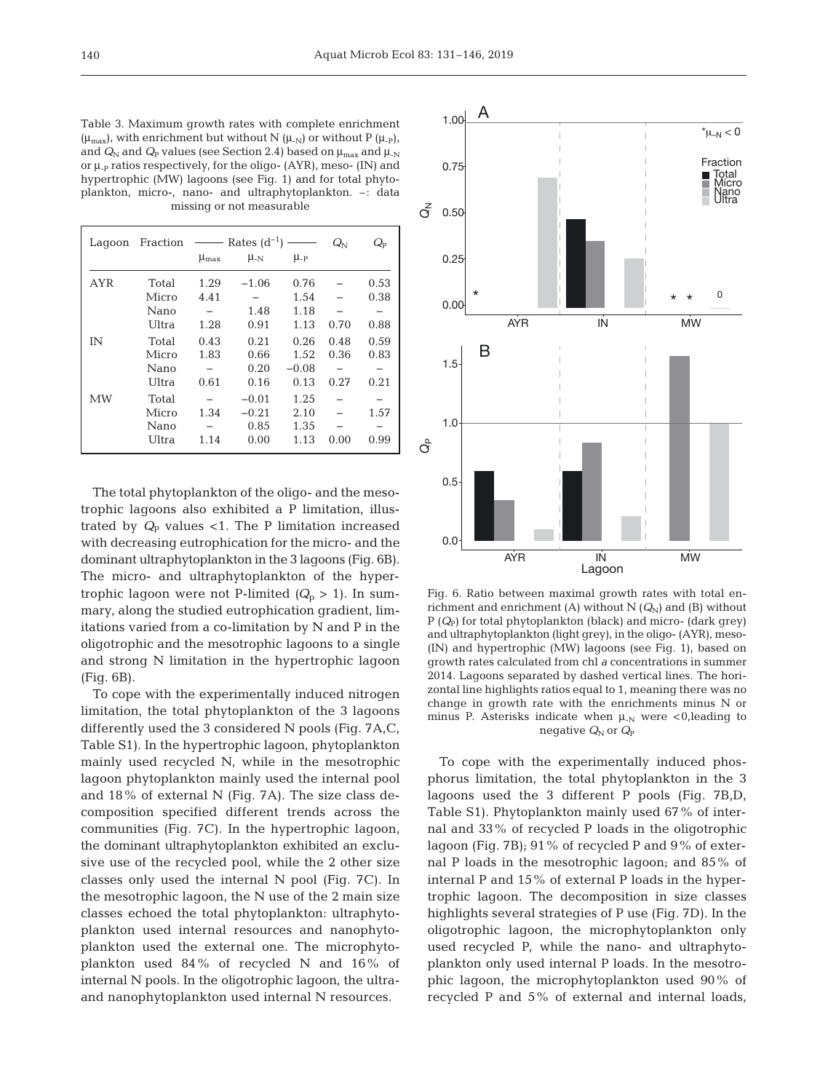Table 3. Maximum growth rates with complete enrichment  $(\mu_{\text{max}})$ , with enrichment but without N  $(\mu_{\text{-N}})$  or without P  $(\mu_{\text{-P}})$ , and  $Q_N$  and  $Q_P$  values (see Section 2.4) based on  $\mu_{\text{max}}$  and  $\mu_N$ or  $\mu$ <sub>-P</sub> ratios respectively, for the oligo- (AYR), meso- (IN) and hypertrophic (MW) lagoons (see Fig. 1) and for total phytoplankton, micro-, nano- and ultraphytoplankton. –: data missing or not measurable

| Lagoon     | Fraction $\longrightarrow$ Rates $(d^{-1}) \longrightarrow$ |                 |           | $Q_{\rm N}$      | $Q_{\rm p}$ |      |
|------------|-------------------------------------------------------------|-----------------|-----------|------------------|-------------|------|
|            |                                                             | $\mu_{\rm max}$ | $\mu_{N}$ | $\mu_{\text{p}}$ |             |      |
| <b>AYR</b> | Total                                                       | 1.29            | $-1.06$   | 0.76             |             | 0.53 |
|            | Micro                                                       | 4.41            |           | 1.54             |             | 0.38 |
|            | Nano                                                        |                 | 1.48      | 1.18             |             |      |
|            | Ultra                                                       | 1.28            | 0.91      | 1.13             | 0.70        | 0.88 |
| ΙN         | Total                                                       | 0.43            | 0.21      | 0.26             | 0.48        | 0.59 |
|            | Micro                                                       | 1.83            | 0.66      | 1.52             | 0.36        | 0.83 |
|            | Nano                                                        |                 | 0.20      | $-0.08$          |             |      |
|            | Ultra                                                       | 0.61            | 0.16      | 0.13             | 0.27        | 0.21 |
| MW         | Total                                                       |                 | $-0.01$   | 1.25             |             |      |
|            | Micro                                                       | 1.34            | $-0.21$   | 2.10             |             | 1.57 |
|            | Nano                                                        |                 | 0.85      | 1.35             |             |      |
|            | Ultra                                                       | 1.14            | 0.00      | 1.13             | 0.00        | 0.99 |

The total phytoplankton of the oligo- and the mesotrophic lagoons also exhibited a P limitation, illustrated by  $Q_{\rm P}$  values <1. The P limitation increased with decreasing eutrophication for the micro- and the dominant ultraphytoplankton in the 3 lagoons (Fig. 6B). The micro- and ultraphytoplankton of the hypertrophic lagoon were not P-limited  $(Q_p > 1)$ . In summary, along the studied eutrophication gradient, limitations varied from a co-limitation by N and P in the oligotrophic and the mesotrophic lagoons to a single and strong N limitation in the hypertrophic lagoon (Fig. 6B).

To cope with the experimentally induced nitrogen limitation, the total phytoplankton of the 3 lagoons differently used the 3 considered N pools (Fig. 7A,C, Table S1). In the hypertrophic lagoon, phytoplankton mainly used recycled N, while in the mesotrophic lagoon phytoplankton mainly used the internal pool and 18% of external N (Fig. 7A). The size class de composition specified different trends across the communities (Fig. 7C). In the hypertrophic lagoon, the dominant ultraphytoplankton exhibited an exclusive use of the recycled pool, while the 2 other size classes only used the internal N pool (Fig. 7C). In the mesotrophic lagoon, the N use of the 2 main size classes echoed the total phytoplankton: ultraphytoplankton used internal resources and nanophytoplankton used the external one. The microphytoplankton used 84% of recycled N and 16% of internal N pools. In the oligotrophic lagoon, the ultraand nanophytoplankton used internal N resources.



Fig. 6. Ratio between maximal growth rates with total enrichment and enrichment (A) without  $N(Q_N)$  and (B) without P (*Q*P) for total phytoplankton (black) and micro- (dark grey) and ultraphytoplankton (light grey), in the oligo- (AYR), meso- (IN) and hypertrophic (MW) lagoons (see Fig. 1), based on growth rates calculated from chl *a* concentrations in summer 2014. Lagoons separated by dashed vertical lines. The horizontal line highlights ratios equal to 1, meaning there was no change in growth rate with the enrichments minus N or minus P. Asterisks indicate when  $\mu_N$  were <0, leading to negative  $Q_N$  or  $Q_P$ 

To cope with the experimentally induced phosphorus limitation, the total phytoplankton in the 3 lagoons used the 3 different P pools (Fig. 7B,D, Table S1). Phytoplankton mainly used 67% of internal and 33% of recycled P loads in the oligotrophic lagoon (Fig. 7B); 91% of recycled P and 9% of external P loads in the mesotrophic lagoon; and 85% of internal P and 15% of external P loads in the hypertrophic lagoon. The decomposition in size classes highlights several strategies of P use (Fig. 7D). In the oligotrophic lagoon, the microphytoplankton only used recycled P, while the nano- and ultraphytoplankton only used internal P loads. In the mesotrophic lagoon, the microphytoplankton used 90% of recycled P and 5% of external and internal loads,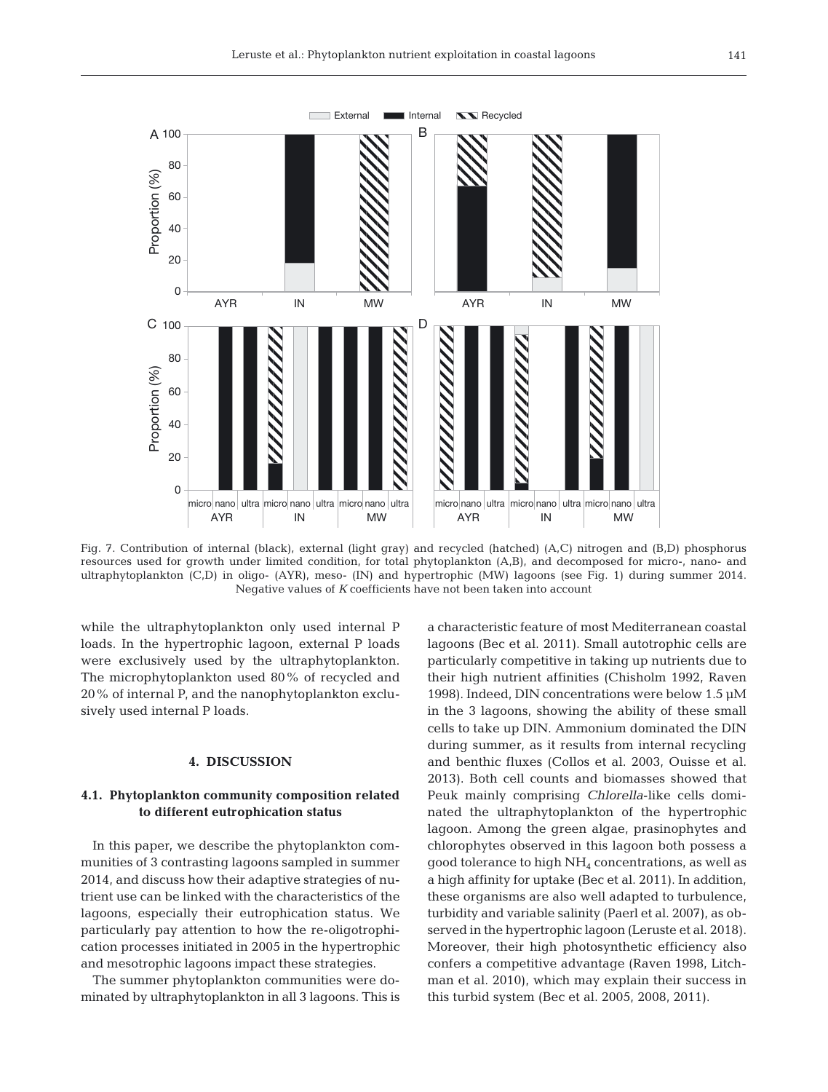

Fig. 7. Contribution of internal (black), external (light gray) and recycled (hatched) (A,C) nitrogen and (B,D) phosphorus resources used for growth under limited condition, for total phytoplankton (A,B), and decomposed for micro-, nano- and ultraphytoplankton (C,D) in oligo- (AYR), meso- (IN) and hypertrophic (MW) lagoons (see Fig. 1) during summer 2014. Negative values of *K* coefficients have not been taken into account

while the ultraphytoplankton only used internal P loads. In the hypertrophic lagoon, external P loads were exclusively used by the ultraphytoplankton. The microphytoplankton used 80% of recycled and 20% of internal P, and the nanophytoplankton exclusively used internal P loads.

#### **4. DISCUSSION**

# **4.1. Phytoplankton community composition related to different eutrophication status**

In this paper, we describe the phytoplankton communities of 3 contrasting lagoons sampled in summer 2014, and discuss how their adaptive strategies of nutrient use can be linked with the characteristics of the lagoons, especially their eutrophication status. We particularly pay attention to how the re-oligotrophication processes initiated in 2005 in the hypertrophic and mesotrophic lagoons impact these strategies.

The summer phytoplankton communities were dominated by ultraphytoplankton in all 3 lagoons. This is a characteristic feature of most Mediterranean coastal lagoons (Bec et al. 2011). Small autotrophic cells are particularly competitive in taking up nutrients due to their high nutrient affinities (Chisholm 1992, Raven 1998). Indeed, DIN concentrations were below 1.5 μM in the 3 lagoons, showing the ability of these small cells to take up DIN. Ammonium dominated the DIN during summer, as it results from internal recycling and benthic fluxes (Collos et al. 2003, Ouisse et al. 2013). Both cell counts and biomasses showed that Peuk mainly comprising *Chlorella*-like cells dominated the ultraphytoplankton of the hypertrophic lagoon. Among the green algae, prasinophytes and chlorophytes observed in this lagoon both possess a good tolerance to high NH4 concentrations, as well as a high affinity for uptake (Bec et al. 2011). In addition, these organisms are also well adapted to turbulence, turbidity and variable salinity (Paerl et al. 2007), as ob served in the hypertrophic lagoon (Leruste et al. 2018). Moreover, their high photosynthetic efficiency also confers a competitive advantage (Raven 1998, Litchman et al. 2010), which may explain their success in this turbid system (Bec et al. 2005, 2008, 2011).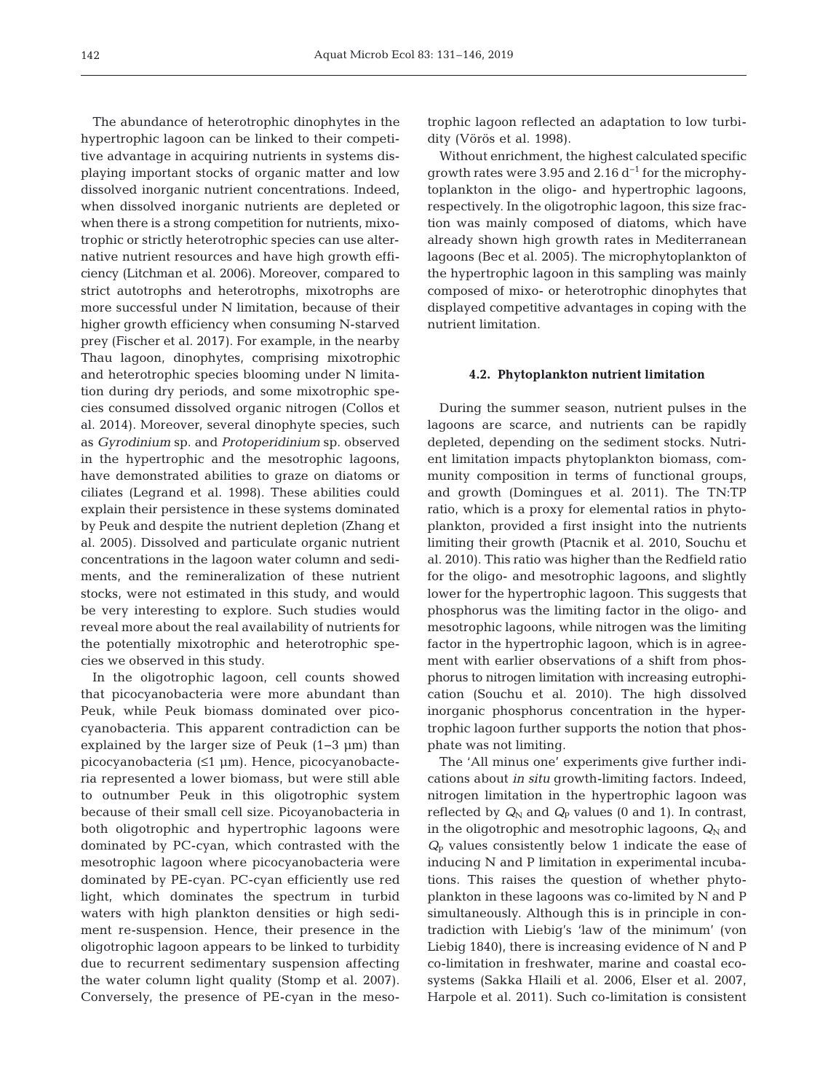The abundance of heterotrophic dinophytes in the hypertrophic lagoon can be linked to their competitive advantage in acquiring nutrients in systems displaying important stocks of organic matter and low dissolved inorganic nutrient concentrations. Indeed, when dissolved inorganic nutrients are depleted or when there is a strong competition for nutrients, mixotrophic or strictly heterotrophic species can use alternative nutrient resources and have high growth efficiency (Litchman et al. 2006). Moreover, compared to strict autotrophs and heterotrophs, mixotrophs are more successful under N limitation, because of their higher growth efficiency when consuming N-starved prey (Fischer et al. 2017). For example, in the nearby Thau lagoon, dinophytes, comprising mixotrophic and heterotrophic species blooming under N limitation during dry periods, and some mixotrophic species consumed dissolved organic nitrogen (Collos et al. 2014). Moreover, several dinophyte species, such as *Gyrodinium* sp. and *Protoperidinium* sp. observed in the hypertrophic and the mesotrophic lagoons, have demonstrated abilities to graze on diatoms or ciliates (Legrand et al. 1998). These abilities could explain their persistence in these systems dominated by Peuk and despite the nutrient depletion (Zhang et al. 2005). Dissolved and particulate organic nutrient concentrations in the lagoon water column and sediments, and the remineralization of these nutrient stocks, were not estimated in this study, and would be very interesting to explore. Such studies would reveal more about the real availability of nutrients for the potentially mixotrophic and heterotrophic species we observed in this study.

In the oligotrophic lagoon, cell counts showed that picocyanobacteria were more abundant than Peuk, while Peuk biomass dominated over picocyanobacteria. This apparent contradiction can be explained by the larger size of Peuk (1−3 μm) than picocyanobacteria (≤1 μm). Hence, picocyanobacteria represented a lower biomass, but were still able to outnumber Peuk in this oligotrophic system because of their small cell size. Picoyanobacteria in both oligotrophic and hypertrophic lagoons were dominated by PC-cyan, which contrasted with the mesotrophic lagoon where picocyanobacteria were dominated by PE-cyan. PC-cyan efficiently use red light, which dominates the spectrum in turbid waters with high plankton densities or high sediment re-suspension. Hence, their presence in the oligotrophic lagoon appears to be linked to turbidity due to recurrent sedimentary suspension affecting the water column light quality (Stomp et al. 2007). Conversely, the presence of PE-cyan in the mesotrophic lagoon reflected an adaptation to low turbi dity (Vörös et al. 1998).

Without enrichment, the highest calculated specific growth rates were 3.95 and 2.16 d<sup>-1</sup> for the microphytoplankton in the oligo- and hypertrophic lagoons, respectively. In the oligotrophic lagoon, this size fraction was mainly composed of diatoms, which have already shown high growth rates in Mediterranean lagoons (Bec et al. 2005). The microphytoplankton of the hypertrophic lagoon in this sampling was mainly composed of mixo- or heterotrophic dinophytes that displayed competitive advantages in coping with the nutrient limitation.

#### **4.2. Phytoplankton nutrient limitation**

During the summer season, nutrient pulses in the lagoons are scarce, and nutrients can be rapidly depleted, depending on the sediment stocks. Nutrient limitation impacts phytoplankton biomass, community composition in terms of functional groups, and growth (Domingues et al. 2011). The TN:TP ratio, which is a proxy for elemental ratios in phytoplankton, provided a first insight into the nutrients limiting their growth (Ptacnik et al. 2010, Souchu et al. 2010). This ratio was higher than the Redfield ratio for the oligo- and mesotrophic lagoons, and slightly lower for the hypertrophic lagoon. This suggests that phosphorus was the limiting factor in the oligo- and mesotrophic lagoons, while nitrogen was the limiting factor in the hypertrophic lagoon, which is in agreement with earlier observations of a shift from phosphorus to nitrogen limitation with increasing eutrophication (Souchu et al. 2010). The high dissolved inorganic phosphorus concentration in the hypertrophic lagoon further supports the notion that phosphate was not limiting.

The 'All minus one' experiments give further indications about *in situ* growth-limiting factors. Indeed, nitrogen limitation in the hypertrophic lagoon was reflected by  $Q_N$  and  $Q_P$  values (0 and 1). In contrast, in the oligotrophic and mesotrophic lagoons,  $Q_N$  and  $Q<sub>p</sub>$  values consistently below 1 indicate the ease of inducing N and P limitation in experimental incubations. This raises the question of whether phytoplankton in these lagoons was co-limited by N and P simultaneously. Although this is in principle in contradiction with Liebig's 'law of the minimum' (von Liebig 1840), there is increasing evidence of N and P co-limitation in freshwater, marine and coastal ecosystems (Sakka Hlaili et al. 2006, Elser et al. 2007, Harpole et al. 2011). Such co-limitation is consistent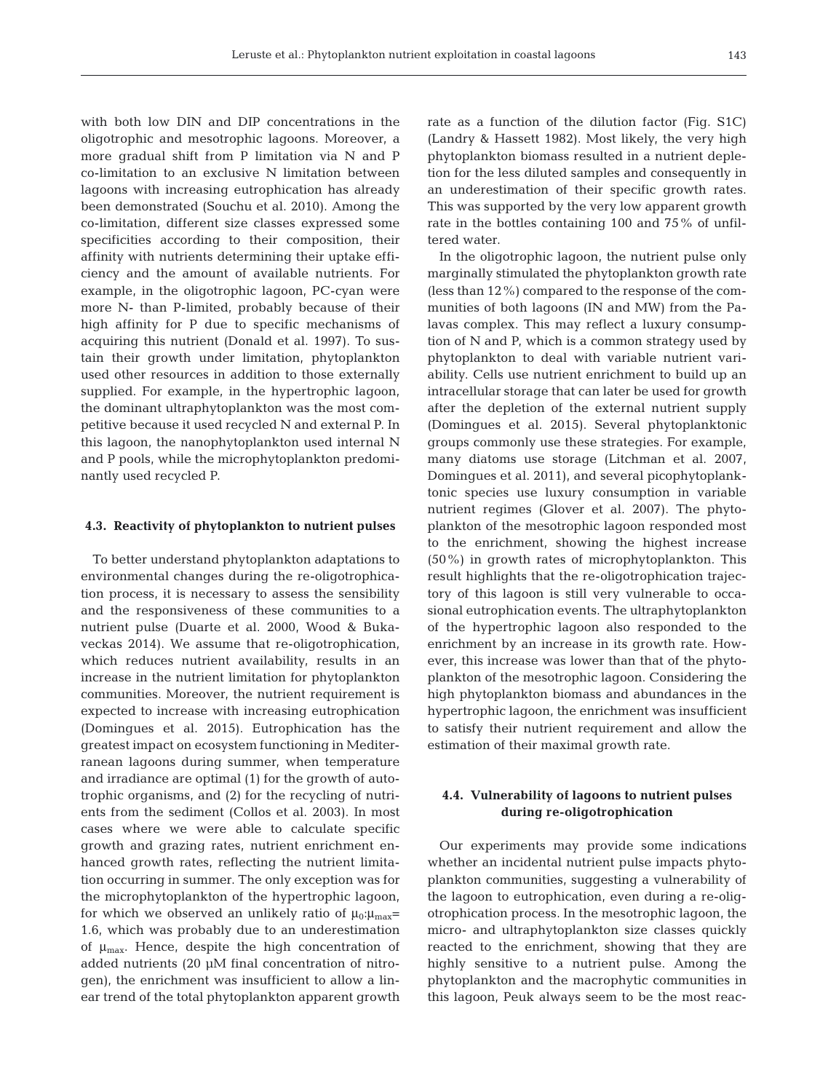with both low DIN and DIP concentrations in the oligotrophic and mesotrophic lagoons. Moreover, a more gradual shift from P limitation via N and P co-limitation to an exclusive N limitation between lagoons with increasing eutrophication has already been demonstrated (Souchu et al. 2010). Among the co-limitation, different size classes expressed some specificities according to their composition, their affinity with nutrients determining their uptake efficiency and the amount of available nutrients. For example, in the oligotrophic lagoon, PC-cyan were more N- than P-limited, probably because of their high affinity for P due to specific mechanisms of acquiring this nutrient (Donald et al. 1997). To sustain their growth under limitation, phytoplankton used other resources in addition to those externally supplied. For example, in the hypertrophic lagoon, the dominant ultraphytoplankton was the most competitive because it used recycled N and external P. In this lagoon, the nanophytoplankton used internal N and P pools, while the microphytoplankton predominantly used recycled P.

#### **4.3. Reactivity of phytoplankton to nutrient pulses**

To better understand phytoplankton adaptations to environmental changes during the re-oligotrophication process, it is necessary to assess the sensibility and the responsiveness of these communities to a nutrient pulse (Duarte et al. 2000, Wood & Bukaveckas 2014). We assume that re-oligotrophication, which reduces nutrient availability, results in an increase in the nutrient limitation for phytoplankton communities. Moreover, the nutrient requirement is expected to increase with increasing eutrophication (Domingues et al. 2015). Eutrophication has the greatest impact on ecosystem functioning in Mediterranean lagoons during summer, when temperature and irradiance are optimal (1) for the growth of autotrophic organisms, and (2) for the recycling of nutrients from the sediment (Collos et al. 2003). In most cases where we were able to calculate specific growth and grazing rates, nutrient enrichment enhanced growth rates, reflecting the nutrient limitation occurring in summer. The only exception was for the microphytoplankton of the hypertrophic lagoon, for which we observed an unlikely ratio of  $\mu_0:\mu_{\text{max}}=$ 1.6, which was probably due to an underestimation of  $\mu_{\text{max}}$ . Hence, despite the high concentration of added nutrients (20 μM final concentration of nitrogen), the enrichment was insufficient to allow a linear trend of the total phytoplankton apparent growth

rate as a function of the dilution factor (Fig. S1C) (Landry & Hassett 1982). Most likely, the very high phytoplankton biomass resulted in a nutrient depletion for the less diluted samples and consequently in an underestimation of their specific growth rates. This was supported by the very low apparent growth rate in the bottles containing 100 and 75% of unfiltered water.

In the oligotrophic lagoon, the nutrient pulse only marginally stimulated the phytoplankton growth rate (less than 12%) compared to the response of the communities of both lagoons (IN and MW) from the Palavas complex. This may reflect a luxury consumption of N and P, which is a common strategy used by phytoplankton to deal with variable nutrient variability. Cells use nutrient enrichment to build up an intracellular storage that can later be used for growth after the depletion of the external nutrient supply (Domingues et al. 2015). Several phytoplanktonic groups commonly use these strategies. For example, many diatoms use storage (Litchman et al. 2007, Domingues et al. 2011), and several picophytoplanktonic species use luxury consumption in variable nutrient regimes (Glover et al. 2007). The phytoplankton of the mesotrophic lagoon responded most to the enrichment, showing the highest increase (50%) in growth rates of microphytoplankton. This result highlights that the re-oligotrophication trajectory of this lagoon is still very vulnerable to occasional eutrophication events. The ultraphytoplankton of the hypertrophic lagoon also responded to the enrichment by an increase in its growth rate. However, this increase was lower than that of the phytoplankton of the mesotrophic lagoon. Considering the high phytoplankton biomass and abundances in the hypertrophic lagoon, the enrichment was insufficient to satisfy their nutrient requirement and allow the estimation of their maximal growth rate.

# **4.4. Vulnerability of lagoons to nutrient pulses during re-oligotrophication**

Our experiments may provide some indications whether an incidental nutrient pulse impacts phytoplankton communities, suggesting a vulnerability of the lagoon to eutrophication, even during a re-oligotrophication process. In the mesotrophic lagoon, the micro- and ultraphytoplankton size classes quickly reacted to the enrichment, showing that they are highly sensitive to a nutrient pulse. Among the phytoplankton and the macrophytic communities in this lagoon, Peuk always seem to be the most reac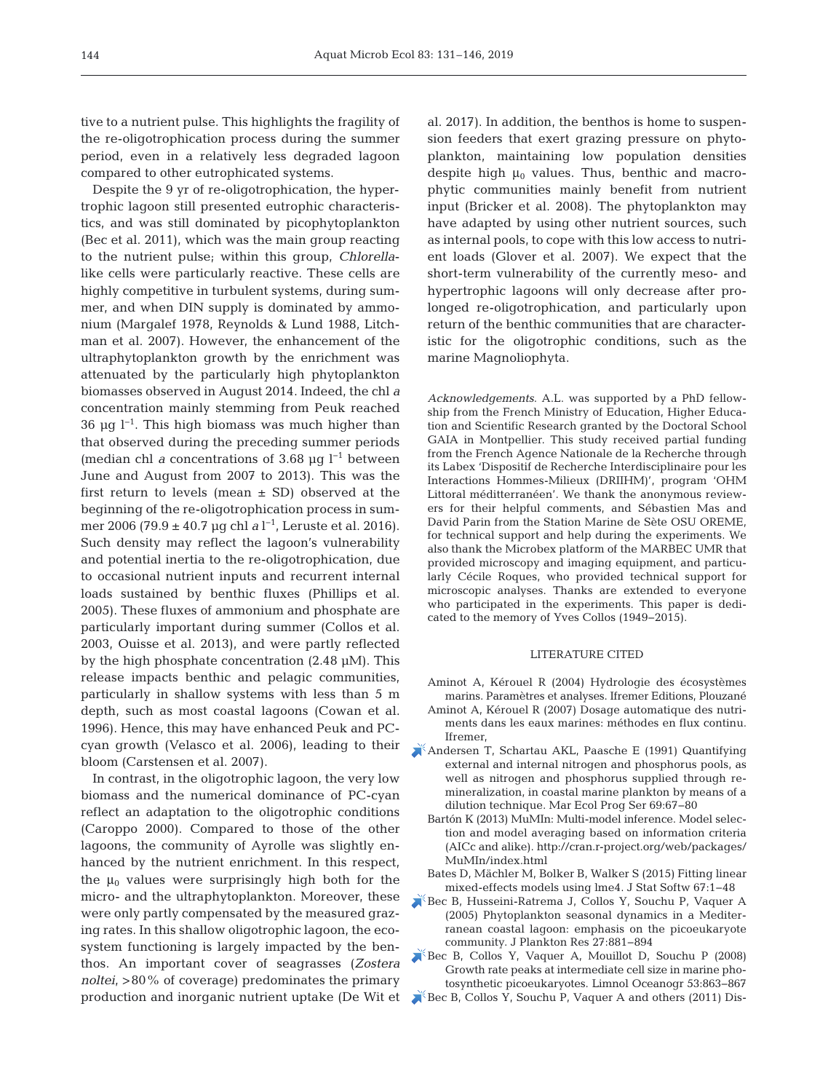tive to a nutrient pulse. This highlights the fragility of the re-oligotrophication process during the summer period, even in a relatively less degraded lagoon compared to other eutrophicated systems.

Despite the 9 yr of re-oligotrophication, the hypertrophic lagoon still presented eutrophic characteristics, and was still dominated by picophytoplankton (Bec et al. 2011), which was the main group reacting to the nutrient pulse; within this group, *Chlorella*like cells were particularly reactive. These cells are highly competitive in turbulent systems, during summer, and when DIN supply is dominated by ammonium (Margalef 1978, Reynolds & Lund 1988, Litchman et al. 2007). However, the enhancement of the ultraphytoplankton growth by the enrichment was attenuated by the particularly high phytoplankton biomasses observed in August 2014. Indeed, the chl *a* concentration mainly stemming from Peuk reached 36 μg  $l^{-1}$ . This high biomass was much higher than that observed during the preceding summer periods (median chl *a* concentrations of 3.68 µg  $l^{-1}$  between June and August from 2007 to 2013). This was the first return to levels (mean ± SD) observed at the beginning of the re-oligotrophication process in summer 2006 (79.9 ± 40.7 μg chl *a* l<sup>−1</sup>, Leruste et al. 2016). Such density may reflect the lagoon's vulnerability and potential inertia to the re-oligotrophication, due to occasional nutrient inputs and recurrent internal loads sustained by benthic fluxes (Phillips et al. 2005). These fluxes of ammonium and phosphate are particularly important during summer (Collos et al. 2003, Ouisse et al. 2013), and were partly reflected by the high phosphate concentration (2.48 μM). This release impacts benthic and pelagic communities, particularly in shallow systems with less than 5 m depth, such as most coastal lagoons (Cowan et al. 1996). Hence, this may have enhanced Peuk and PCcyan growth (Velasco et al. 2006), leading to their bloom (Carstensen et al. 2007).

In contrast, in the oligotrophic lagoon, the very low biomass and the numerical dominance of PC-cyan reflect an adaptation to the oligotrophic conditions (Caroppo 2000). Compared to those of the other lagoons, the community of Ayrolle was slightly enhanced by the nutrient enrichment. In this respect, the  $\mu_0$  values were surprisingly high both for the micro- and the ultraphytoplankton. Moreover, these were only partly compensated by the measured grazing rates. In this shallow oligotrophic lagoon, the ecosystem functioning is largely impacted by the benthos. An important cover of seagrasses (*Zostera noltei*, >80% of coverage) predominates the primary

al. 2017). In addition, the benthos is home to suspension feeders that exert grazing pressure on phytoplankton, maintaining low population densities despite high  $\mu_0$  values. Thus, benthic and macrophytic communities mainly benefit from nutrient input (Bricker et al. 2008). The phytoplankton may have adapted by using other nutrient sources, such as internal pools, to cope with this low access to nutrient loads (Glover et al. 2007). We expect that the short-term vulnerability of the currently meso- and hypertrophic lagoons will only decrease after prolonged re-oligotrophication, and particularly upon return of the benthic communities that are characteristic for the oligotrophic conditions, such as the marine Magnoliophyta.

*Acknowledgements*. A.L. was supported by a PhD fellowship from the French Ministry of Education, Higher Education and Scientific Research granted by the Doctoral School GAIA in Montpellier. This study received partial funding from the French Agence Nationale de la Recherche through its Labex 'Dispositif de Recherche Interdisciplinaire pour les Interactions Hommes-Milieux (DRIIHM)', program 'OHM Littoral méditterranéen'. We thank the anonymous reviewers for their helpful comments, and Sébastien Mas and David Parin from the Station Marine de Sète OSU OREME, for technical support and help during the experiments. We also thank the Microbex platform of the MARBEC UMR that provided microscopy and imaging equipment, and particularly Cécile Roques, who provided technical support for microscopic analyses. Thanks are extended to everyone who participated in the experiments. This paper is dedicated to the memory of Yves Collos (1949−2015).

### LITERATURE CITED

- Aminot A, Kérouel R (2004) Hydrologie des écosystèmes marins. Paramètres et analyses. Ifremer Editions, Plouzané
- Aminot A, Kérouel R (2007) Dosage automatique des nutriments dans les eaux marines: méthodes en flux continu. Ifremer,
- [Andersen T, Schartau AKL, Paasche E \(1991\) Quantifying](https://doi.org/10.3354/meps069067) external and internal nitrogen and phosphorus pools, as well as nitrogen and phosphorus supplied through remineralization, in coastal marine plankton by means of a dilution technique. Mar Ecol Prog Ser 69:67-80
	- Bartón K (2013) MuMIn: Multi-model inference. Model selection and model averaging based on information criteria (AICc and alike). http://cran.r-project.org/web/packages/ MuMIn/index.html
	- Bates D, Mächler M, Bolker B, Walker S (2015) Fitting linear mixed-effects models using lme4. J Stat Softw 67: 1−48
- [Bec B, Husseini-Ratrema J, Collos Y, Souchu P, Vaquer A](https://doi.org/10.1093/plankt/fbi061) (2005) Phytoplankton seasonal dynamics in a Mediterranean coastal lagoon: emphasis on the picoeukaryote community. J Plankton Res 27: 881−894

[Bec B, Collos Y, Vaquer A, Mouillot D, Souchu P \(2008\)](https://doi.org/10.4319/lo.2008.53.2.0863) Growth rate peaks at intermediate cell size in marine photosynthetic picoeukaryotes. Limnol Oceanogr 53: 863−867

production and inorganic nutrient uptake (De Wit et [Bec B, Collos Y, Souchu P, Vaquer A and others \(2011\) Dis-](https://doi.org/10.3354/ame01480)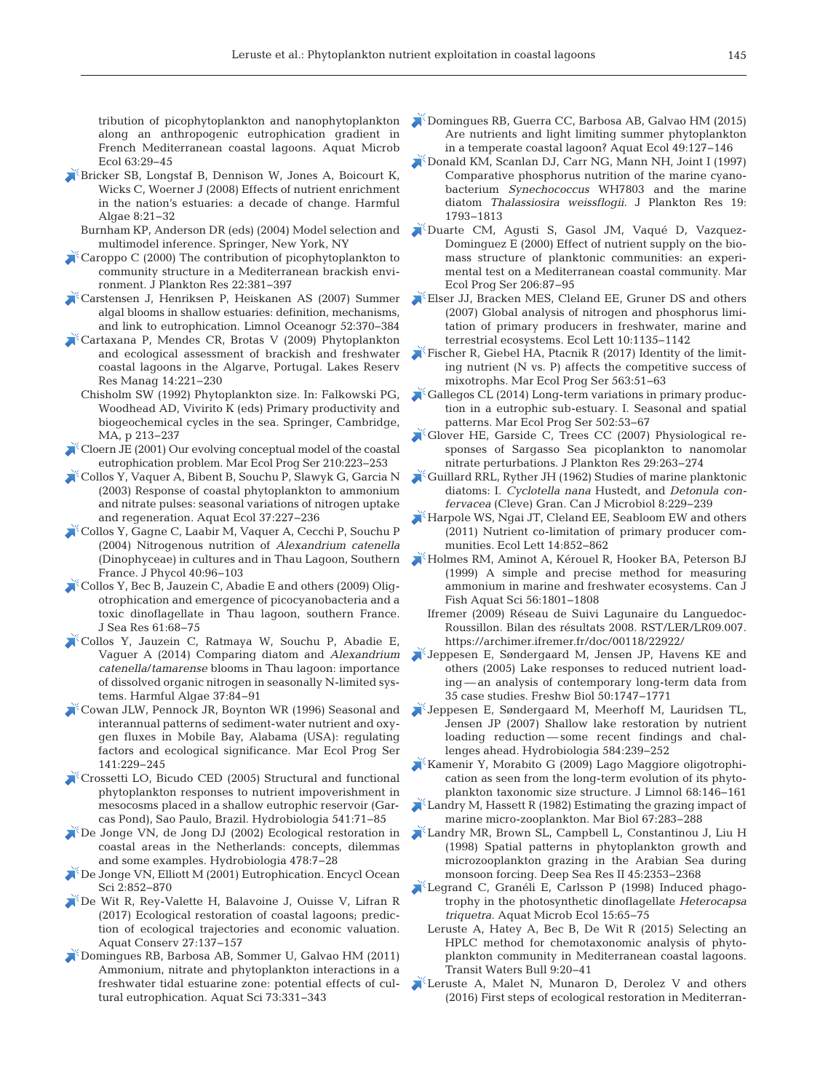tribution of picophytoplankton and nanophytoplankton along an anthropogenic eutrophication gradient in French Mediterranean coastal lagoons. Aquat Microb Ecol 63: 29−45

- [Bricker SB, Longstaf B, Dennison W, Jones A, Boicourt K,](https://doi.org/10.1016/j.hal.2008.08.028) Wicks C, Woerner J (2008) Effects of nutrient enrichment in the nation's estuaries: a decade of change. Harmful Algae 8:21–32
	- Burnham KP, Anderson DR (eds) (2004) Model selection and multimodel inference. Springer, New York, NY
- [Caroppo C \(2000\) The contribution of picophytoplankton to](https://doi.org/10.1093/plankt/22.2.381) community structure in a Mediterranean brackish environment. J Plankton Res 22: 381−397
- [Carstensen J, Henriksen P, Heiskanen AS \(2007\) Summer](https://doi.org/10.4319/lo.2007.52.1.0370) algal blooms in shallow estuaries: definition, mechanisms, and link to eutrophication. Limnol Oceanogr 52: 370−384
- [Cartaxana P, Mendes CR, Brotas V \(2009\) Phytoplankton](https://doi.org/10.1111/j.1440-1770.2009.00405.x) and ecological assessment of brackish and freshwater coastal lagoons in the Algarve, Portugal. Lakes Reserv Res Manag 14:221-230
	- Chisholm SW (1992) Phytoplankton size. In: Falkowski PG, Woodhead AD, Vivirito K (eds) Primary productivity and biogeochemical cycles in the sea. Springer, Cambridge, MA, p 213−237
- [Cloern JE \(2001\) Our evolving conceptual model of the coastal](https://doi.org/10.3354/meps210223) eutrophication problem. Mar Ecol Prog Ser 210:223-253
- [Collos Y, Vaquer A, Bibent B, Souchu P, Slawyk G, Garcia N](https://doi.org/10.1023/A%3A1025881323812) (2003) Response of coastal phytoplankton to ammonium and nitrate pulses: seasonal variations of nitrogen uptake and regeneration. Aquat Ecol 37: 227−236
- [Collos Y, Gagne C, Laabir M, Vaquer A, Cecchi P, Souchu P](https://doi.org/10.1046/j.1529-8817.2004.03034.x) (2004) Nitrogenous nutrition of *Alexandrium catenella* (Dinophyceae) in cultures and in Thau Lagoon, Southern France. J Phycol 40: 96−103
- [Collos Y, Bec B, Jauzein C, Abadie E and others \(2009\) Olig](https://doi.org/10.1016/j.seares.2008.05.008)otrophication and emergence of picocyanobacteria and a toxic dinoflagellate in Thau lagoon, southern France. J Sea Res 61:68-75
- [Collos Y, Jauzein C, Ratmaya W, Souchu P, Abadie E,](https://doi.org/10.1016/j.hal.2014.05.008) Vaguer A (2014) Comparing diatom and *Alexandrium catenella/tamarense* blooms in Thau lagoon: importance of dissolved organic nitrogen in seasonally N-limited systems. Harmful Algae 37:84-91
- [Cowan JLW, Pennock JR, Boynton WR \(1996\) Seasonal and](https://doi.org/10.3354/meps141229) interannual patterns of sediment-water nutrient and oxygen fluxes in Mobile Bay, Alabama (USA): regulating factors and ecological significance. Mar Ecol Prog Ser 141: 229−245
- [Crossetti LO, Bicudo CED \(2005\) Structural and functional](https://doi.org/10.1007/s10750-004-4668-7) phytoplankton responses to nutrient impoverishment in mesocosms placed in a shallow eutrophic reservoir (Garcas Pond), Sao Paulo, Brazil. Hydrobiologia 541: 71−85
- [De Jonge VN, de Jong DJ \(2002\) Ecological restoration in](https://doi.org/10.1023/A%3A1021014310819) coastal areas in the Netherlands: concepts, dilemmas and some examples. Hydrobiologia 478:7-28
- [De Jonge VN, Elliott M \(2001\) Eutrophication. Encycl Ocean](https://doi.org/10.1006/rwos.2001.0047) Sci 2: 852−870
- [De Wit R, Rey-Valette H, Balavoine J, Ouisse V, Lifran R](https://doi.org/10.1002/aqc.2601) (2017) Ecological restoration of coastal lagoons; prediction of ecological trajectories and economic valuation. Aquat Conserv 27: 137−157
- [Domingues RB, Barbosa AB, Sommer U, Galvao HM \(2011\)](https://doi.org/10.1007/s00027-011-0180-0) Ammonium, nitrate and phytoplankton interactions in a freshwater tidal estuarine zone: potential effects of cultural eutrophication. Aquat Sci 73: 331−343
- [Domingues RB, Guerra CC, Barbosa AB, Galvao HM \(2015\)](https://doi.org/10.1007/s10452-015-9512-9) Are nutrients and light limiting summer phytoplankton in a temperate coastal lagoon? Aquat Ecol 49: 127−146
- [Donald KM, Scanlan DJ, Carr NG, Mann NH, Joint I \(1997\)](https://doi.org/10.1093/plankt/19.12.1793) Comparative phosphorus nutrition of the marine cyanobacterium *Synechococcus* WH7803 and the marine diatom *Thalassiosira weissflogii*. J Plankton Res 19: 1793−1813
- [Duarte CM, Agusti S, Gasol JM, Vaqué D, Vazquez-](https://doi.org/10.3354/meps206087)Dominguez E (2000) Effect of nutrient supply on the biomass structure of planktonic communities: an experimental test on a Mediterranean coastal community. Mar Ecol Prog Ser 206: 87−95
- [Elser JJ, Bracken MES, Cleland EE, Gruner DS and others](https://doi.org/10.1111/j.1461-0248.2007.01113.x) (2007) Global analysis of nitrogen and phosphorus limitation of primary producers in freshwater, marine and terrestrial ecosystems. Ecol Lett 10: 1135−1142
- [Fischer R, Giebel HA, Ptacnik R \(2017\) Identity of the limit](https://doi.org/10.3354/meps11968)ing nutrient (N vs. P) affects the competitive success of mixotrophs. Mar Ecol Prog Ser 563:51–63
- [Gallegos CL \(2014\) Long-term variations in primary produc](https://doi.org/10.3354/meps10712)tion in a eutrophic sub-estuary. I. Seasonal and spatial patterns. Mar Ecol Prog Ser 502:53-67
- [Glover HE, Garside C, Trees CC \(2007\) Physiological re](https://doi.org/10.1093/plankt/fbm013)  sponses of Sargasso Sea picoplankton to nanomolar nitrate perturbations. J Plankton Res 29:263-274
- [Guillard RRL, Ryther JH \(1962\) Studies of marine planktonic](https://doi.org/10.1139/m62-029) diatoms:I. *Cyclotella nana* Hustedt, and *Detonula confervacea* (Cleve) Gran. Can J Microbiol 8: 229−239
- [Harpole WS, Ngai JT, Cleland EE, Seabloom EW and others](https://doi.org/10.1111/j.1461-0248.2011.01651.x) (2011) Nutrient co-limitation of primary producer communities. Ecol Lett 14: 852−862
- [Holmes RM, Aminot A, Kérouel R, Hooker BA, Peterson BJ](https://doi.org/10.1139/f99-128) (1999) A simple and precise method for measuring ammonium in marine and freshwater ecosystems. Can J Fish Aquat Sci 56: 1801−1808
	- Ifremer (2009) Réseau de Suivi Lagunaire du Languedoc-Roussillon. Bilan des résultats 2008. RST/LER/LR09.007. https: //archimer.ifremer.fr/doc/00118/22922/
- [Jeppesen E, Søndergaard M, Jensen JP, Havens KE and](https://doi.org/10.1111/j.1365-2427.2005.01415.x) others (2005) Lake responses to reduced nutrient loading — an analysis of contemporary long-term data from 35 case studies. Freshw Biol 50: 1747−1771
- [Jeppesen E, Søndergaard M, Meerhoff M, Lauridsen TL,](https://doi.org/10.1007/s10750-007-0596-7) Jensen JP (2007) Shallow lake restoration by nutrient loading reduction — some recent findings and challenges ahead. Hydrobiologia 584: 239−252
- [Kamenir Y, Morabito G \(2009\) Lago Maggiore oligotrophi](https://doi.org/10.4081/jlimnol.2009.146)cation as seen from the long-term evolution of its phytoplankton taxonomic size structure. J Limnol 68: 146−161
- [Landry M, Hassett R \(1982\) Estimating the grazing impact of](https://doi.org/10.1007/BF00397668) marine micro-zooplankton. Mar Biol 67: 283−288
- [Landry MR, Brown SL, Campbell L, Constantinou J, Liu H](https://doi.org/10.1016/S0967-0645(98)00074-5) (1998) Spatial patterns in phytoplankton growth and microzooplankton grazing in the Arabian Sea during monsoon forcing. Deep Sea Res II 45:2353-2368
- Legrand C, Granéli E, Carlsson P (1998) Induced phagotrophy in the photosynthetic dinoflagellate *Heterocapsa triquetra*. Aquat Microb Ecol 15:65–75
- Leruste A, Hatey A, Bec B, De Wit R (2015) Selecting an HPLC method for chemotaxonomic analysis of phytoplankton community in Mediterranean coastal lagoons. Transit Waters Bull 9:20-41
- [Leruste A, Malet N, Munaron D, Derolez V and others](https://doi.org/10.1016/j.ecss.2016.06.029) (2016) First steps of ecological restoration in Mediterran-